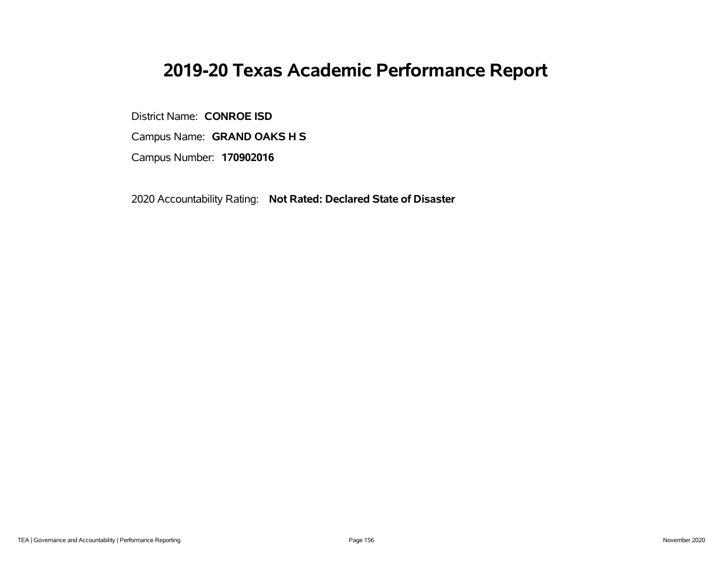# **2019-20 Texas Academic Performance Report**

District Name: **CONROE ISD**

Campus Name: **GRAND OAKS H S**

Campus Number: **170902016**

2020 Accountability Rating: **Not Rated: Declared State of Disaster**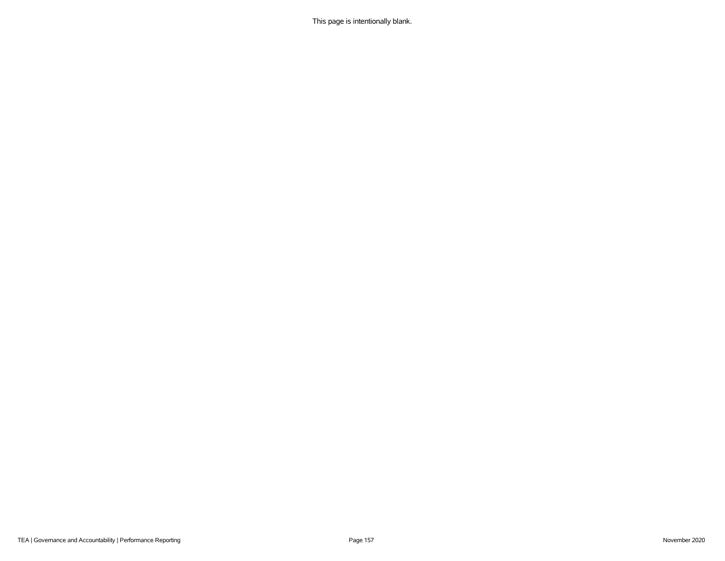This page is intentionally blank.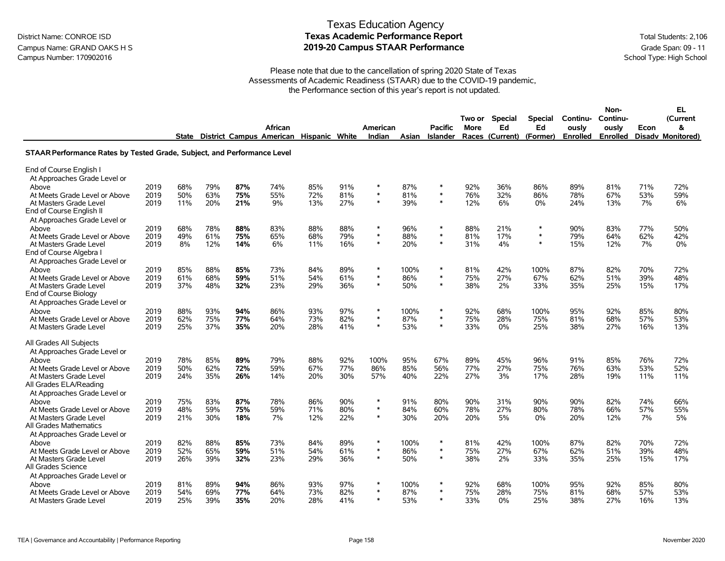# Texas Education Agency District Name: CONROE ISD **Texas Academic Performance Report Texas Academic Performance Report** Total Students: 2,106

#### Please note that due to the cancellation of spring 2020 State of Texas Assessments of Academic Readiness (STAAR) due to the COVID-19 pandemic, the Performance section of this year's report is not updated.

|                                                                         |              | State      |            |            | African<br>District Campus American Hispanic White |            |            | American<br>Indian | Asian      | <b>Pacific</b><br><b>Islander</b> | Two or<br><b>More</b> | <b>Special</b><br>Ed<br>Races (Current) | <b>Special</b><br>Ed<br>(Former) | Continu-<br>ously<br><b>Enrolled</b> | Non-<br>Continu-<br>ously<br><b>Enrolled</b> | Econ       | EL.<br>(Current<br>&<br>Disady Monitored) |
|-------------------------------------------------------------------------|--------------|------------|------------|------------|----------------------------------------------------|------------|------------|--------------------|------------|-----------------------------------|-----------------------|-----------------------------------------|----------------------------------|--------------------------------------|----------------------------------------------|------------|-------------------------------------------|
| STAAR Performance Rates by Tested Grade, Subject, and Performance Level |              |            |            |            |                                                    |            |            |                    |            |                                   |                       |                                         |                                  |                                      |                                              |            |                                           |
| End of Course English I                                                 |              |            |            |            |                                                    |            |            |                    |            |                                   |                       |                                         |                                  |                                      |                                              |            |                                           |
| At Approaches Grade Level or<br>Above                                   | 2019         | 68%        | 79%        | 87%        | 74%                                                | 85%        | 91%        |                    | 87%        | $\ast$                            | 92%                   | 36%                                     | 86%                              | 89%                                  | 81%                                          | 71%        | 72%                                       |
| At Meets Grade Level or Above                                           | 2019         | 50%        | 63%        | 75%        | 55%                                                | 72%        | 81%        | $\ast$             | 81%        | $\ast$                            | 76%                   | 32%                                     | 86%                              | 78%                                  | 67%                                          | 53%        | 59%                                       |
| At Masters Grade Level                                                  | 2019         | 11%        | 20%        | 21%        | 9%                                                 | 13%        | 27%        | $\ast$             | 39%        | $\ast$                            | 12%                   | 6%                                      | $0\%$                            | 24%                                  | 13%                                          | 7%         | 6%                                        |
| End of Course English II                                                |              |            |            |            |                                                    |            |            |                    |            |                                   |                       |                                         |                                  |                                      |                                              |            |                                           |
| At Approaches Grade Level or                                            |              |            |            |            |                                                    |            |            |                    |            |                                   |                       |                                         |                                  |                                      |                                              |            |                                           |
| Above                                                                   | 2019         | 68%        | 78%        | 88%        | 83%                                                | 88%        | 88%        | $\ast$             | 96%        | $\ast$                            | 88%                   | 21%                                     | $\ast$                           | 90%                                  | 83%                                          | 77%        | 50%                                       |
| At Meets Grade Level or Above                                           | 2019         | 49%        | 61%        | 75%        | 65%                                                | 68%        | 79%        | $\ast$             | 88%        | $\ast$                            | 81%                   | 17%                                     | $\ast$                           | 79%                                  | 64%                                          | 62%        | 42%                                       |
| At Masters Grade Level<br>End of Course Algebra I                       | 2019         | 8%         | 12%        | 14%        | 6%                                                 | 11%        | 16%        | $\ast$             | 20%        | $\ast$                            | 31%                   | 4%                                      | $\ast$                           | 15%                                  | 12%                                          | 7%         | 0%                                        |
| At Approaches Grade Level or                                            |              |            |            |            |                                                    |            |            |                    |            |                                   |                       |                                         |                                  |                                      |                                              |            |                                           |
| Above                                                                   | 2019         | 85%        | 88%        | 85%        | 73%                                                | 84%        | 89%        | $\ast$<br>$\ast$   | 100%       | $\ast$<br>$\ast$                  | 81%                   | 42%                                     | 100%                             | 87%                                  | 82%                                          | 70%        | 72%                                       |
| At Meets Grade Level or Above                                           | 2019<br>2019 | 61%<br>37% | 68%<br>48% | 59%<br>32% | 51%<br>23%                                         | 54%<br>29% | 61%<br>36% | $\ast$             | 86%<br>50% | $\ast$                            | 75%<br>38%            | 27%                                     | 67%                              | 62%<br>35%                           | 51%<br>25%                                   | 39%<br>15% | 48%<br>17%                                |
| At Masters Grade Level<br>End of Course Biology                         |              |            |            |            |                                                    |            |            |                    |            |                                   |                       | 2%                                      | 33%                              |                                      |                                              |            |                                           |
| At Approaches Grade Level or                                            |              |            |            |            |                                                    |            |            |                    |            |                                   |                       |                                         |                                  |                                      |                                              |            |                                           |
| Above                                                                   | 2019         | 88%        | 93%        | 94%        | 86%                                                | 93%        | 97%        | $\ast$             | 100%       | $\ast$                            | 92%                   | 68%                                     | 100%                             | 95%                                  | 92%                                          | 85%        | 80%                                       |
| At Meets Grade Level or Above                                           | 2019         | 62%        | 75%        | 77%        | 64%                                                | 73%        | 82%        | $\ast$             | 87%        | $\ast$                            | 75%                   | 28%                                     | 75%                              | 81%                                  | 68%                                          | 57%        | 53%                                       |
| At Masters Grade Level                                                  | 2019         | 25%        | 37%        | 35%        | 20%                                                | 28%        | 41%        |                    | 53%        | $\ast$                            | 33%                   | $0\%$                                   | 25%                              | 38%                                  | 27%                                          | 16%        | 13%                                       |
| All Grades All Subjects                                                 |              |            |            |            |                                                    |            |            |                    |            |                                   |                       |                                         |                                  |                                      |                                              |            |                                           |
| At Approaches Grade Level or                                            |              |            |            |            |                                                    |            |            |                    |            |                                   |                       |                                         |                                  |                                      |                                              |            |                                           |
| Above                                                                   | 2019         | 78%        | 85%        | 89%        | 79%                                                | 88%        | 92%        | 100%               | 95%        | 67%                               | 89%                   | 45%                                     | 96%                              | 91%                                  | 85%                                          | 76%        | 72%                                       |
| At Meets Grade Level or Above                                           | 2019         | 50%        | 62%        | 72%        | 59%                                                | 67%        | 77%        | 86%                | 85%        | 56%                               | 77%                   | 27%                                     | 75%                              | 76%                                  | 63%                                          | 53%        | 52%                                       |
| At Masters Grade Level                                                  | 2019         | 24%        | 35%        | 26%        | 14%                                                | 20%        | 30%        | 57%                | 40%        | 22%                               | 27%                   | 3%                                      | 17%                              | 28%                                  | 19%                                          | 11%        | 11%                                       |
| All Grades ELA/Reading                                                  |              |            |            |            |                                                    |            |            |                    |            |                                   |                       |                                         |                                  |                                      |                                              |            |                                           |
| At Approaches Grade Level or                                            |              |            |            |            |                                                    |            |            |                    |            |                                   |                       |                                         |                                  |                                      |                                              |            |                                           |
| Above                                                                   | 2019         | 75%        | 83%        | 87%        | 78%                                                | 86%        | 90%        | $\ast$             | 91%        | 80%                               | 90%                   | 31%                                     | 90%                              | 90%                                  | 82%                                          | 74%        | 66%                                       |
| At Meets Grade Level or Above                                           | 2019         | 48%        | 59%<br>30% | 75%        | 59%                                                | 71%        | 80%        | $\ast$<br>$\ast$   | 84%        | 60%                               | 78%                   | 27%                                     | 80%                              | 78%                                  | 66%                                          | 57%<br>7%  | 55%<br>5%                                 |
| At Masters Grade Level<br>All Grades Mathematics                        | 2019         | 21%        |            | 18%        | 7%                                                 | 12%        | 22%        |                    | 30%        | 20%                               | 20%                   | 5%                                      | 0%                               | 20%                                  | 12%                                          |            |                                           |
| At Approaches Grade Level or                                            |              |            |            |            |                                                    |            |            |                    |            |                                   |                       |                                         |                                  |                                      |                                              |            |                                           |
| Above                                                                   | 2019         | 82%        | 88%        | 85%        | 73%                                                | 84%        | 89%        | $\ast$             | 100%       | $\ast$                            | 81%                   | 42%                                     | 100%                             | 87%                                  | 82%                                          | 70%        | 72%                                       |
| At Meets Grade Level or Above                                           | 2019         | 52%        | 65%        | 59%        | 51%                                                | 54%        | 61%        | $\ast$             | 86%        | $\ast$                            | 75%                   | 27%                                     | 67%                              | 62%                                  | 51%                                          | 39%        | 48%                                       |
| At Masters Grade Level                                                  | 2019         | 26%        | 39%        | 32%        | 23%                                                | 29%        | 36%        | $\ast$             | 50%        | $\ast$                            | 38%                   | 2%                                      | 33%                              | 35%                                  | 25%                                          | 15%        | 17%                                       |
| All Grades Science                                                      |              |            |            |            |                                                    |            |            |                    |            |                                   |                       |                                         |                                  |                                      |                                              |            |                                           |
| At Approaches Grade Level or                                            |              |            |            |            |                                                    |            |            |                    |            |                                   |                       |                                         |                                  |                                      |                                              |            |                                           |
| Above                                                                   | 2019         | 81%        | 89%        | 94%        | 86%                                                | 93%        | 97%        | $\ast$             | 100%       | $\ast$                            | 92%                   | 68%                                     | 100%                             | 95%                                  | 92%                                          | 85%        | 80%                                       |
| At Meets Grade Level or Above                                           | 2019         | 54%        | 69%        | 77%        | 64%                                                | 73%        | 82%        | $\ast$             | 87%        | $\ast$                            | 75%                   | 28%                                     | 75%                              | 81%                                  | 68%                                          | 57%        | 53%                                       |
| At Masters Grade Level                                                  | 2019         | 25%        | 39%        | 35%        | 20%                                                | 28%        | 41%        |                    | 53%        | $\ast$                            | 33%                   | $0\%$                                   | 25%                              | 38%                                  | 27%                                          | 16%        | 13%                                       |
|                                                                         |              |            |            |            |                                                    |            |            |                    |            |                                   |                       |                                         |                                  |                                      |                                              |            |                                           |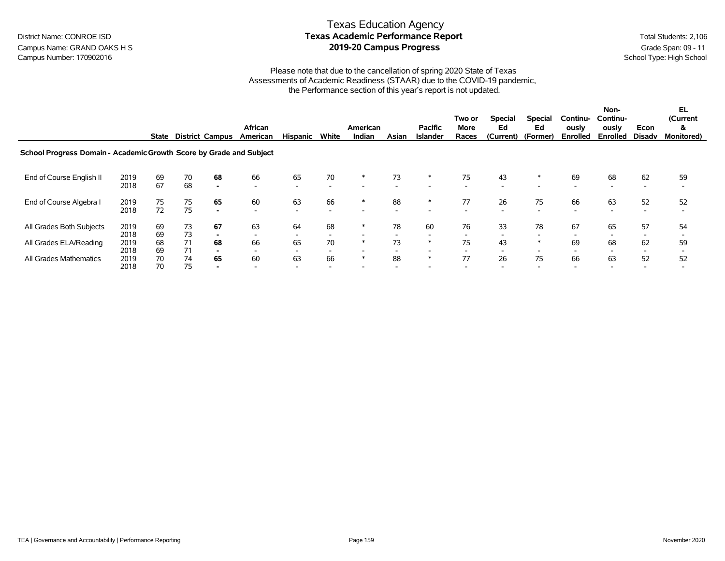# Texas Education Agency District Name: CONROE ISD **Texas Academic Performance Report Texas Academic Performance Report** Total Students: 2,106

### Please note that due to the cancellation of spring 2020 State of Texas Assessments of Academic Readiness (STAAR) due to the COVID-19 pandemic, the Performance section of this year's report is not updated.

|                                                                     |              | State    |          | District Campus      | African<br>American            | <b>Hispanic</b>                | White                          | American<br>Indian                 | Asian                          | <b>Pacific</b><br>Islander         | Two or<br>More<br>Races        | <b>Special</b><br>Ed<br>(Current) | <b>Special</b><br>Ed<br>(Former)   | Continu-<br>ously<br>Enrolled  | Non-<br>Continu-<br>ously<br>Enrolled | Econ<br><b>Disadv</b>          | EL<br>(Current<br>&<br><b>Monitored)</b> |
|---------------------------------------------------------------------|--------------|----------|----------|----------------------|--------------------------------|--------------------------------|--------------------------------|------------------------------------|--------------------------------|------------------------------------|--------------------------------|-----------------------------------|------------------------------------|--------------------------------|---------------------------------------|--------------------------------|------------------------------------------|
| School Progress Domain - Academic Growth Score by Grade and Subject |              |          |          |                      |                                |                                |                                |                                    |                                |                                    |                                |                                   |                                    |                                |                                       |                                |                                          |
| End of Course English II                                            | 2019<br>2018 | 69<br>67 | 70<br>68 | 68<br>$\blacksquare$ | 66<br>$\overline{\phantom{a}}$ | 65<br>$\overline{\phantom{0}}$ | 70<br>$\overline{\phantom{0}}$ | $\ast$<br>$\overline{\phantom{0}}$ | 73                             | ∗<br>$\overline{\phantom{a}}$      | 75<br>$\overline{\phantom{a}}$ | 43<br>$\overline{\phantom{a}}$    | $\ast$<br>$\overline{\phantom{a}}$ | 69<br>$\overline{\phantom{a}}$ | 68<br>$\overline{\phantom{a}}$        | 62<br>$\overline{\phantom{a}}$ | 59<br>$\overline{\phantom{a}}$           |
| End of Course Algebra I                                             | 2019<br>2018 | 75<br>72 | 75<br>75 | 65<br>$\blacksquare$ | 60<br>$\overline{\phantom{a}}$ | 63<br>$\overline{\phantom{a}}$ | 66<br>$\overline{\phantom{0}}$ | $\ast$                             | 88                             | ∗                                  | 77                             | 26<br>$\overline{\phantom{0}}$    | 75<br>$\overline{\phantom{a}}$     | 66<br>$\overline{\phantom{0}}$ | 63<br>$\overline{\phantom{a}}$        | 52<br>$\overline{\phantom{a}}$ | 52<br>$\overline{\phantom{a}}$           |
| All Grades Both Subjects                                            | 2019<br>2018 | 69<br>69 | 73<br>73 | 67<br>$\blacksquare$ | 63<br>$\sim$                   | 64<br>$\sim$                   | 68<br>-                        | *<br>$\overline{\phantom{a}}$      | 78<br>$\overline{\phantom{a}}$ | 60<br>$\overline{\phantom{a}}$     | 76<br>$\overline{\phantom{a}}$ | 33<br>$\overline{\phantom{0}}$    | 78<br>$\overline{\phantom{a}}$     | 67                             | 65<br>$\overline{\phantom{0}}$        | 57<br>$\overline{\phantom{a}}$ | 54                                       |
| All Grades ELA/Reading                                              | 2019<br>2018 | 68<br>69 | 71<br>71 | 68<br>$\blacksquare$ | 66<br>$\sim$                   | 65<br>$\overline{\phantom{0}}$ | 70<br>$\overline{\phantom{a}}$ | $\ast$                             | 73                             | $\ast$<br>$\overline{\phantom{a}}$ | 75                             | 43<br>$\overline{\phantom{0}}$    | $\ast$<br>$\overline{\phantom{a}}$ | 69                             | 68<br>$\overline{\phantom{0}}$        | 62<br>$\overline{\phantom{a}}$ | 59                                       |
| All Grades Mathematics                                              | 2019<br>2018 | 70<br>70 | 74<br>75 | 65                   | 60                             | 63<br>$\overline{\phantom{a}}$ | 66                             | $\ast$                             | 88                             | $\ast$                             | 77                             | 26<br>$\overline{\phantom{0}}$    | 75                                 | 66                             | 63<br>$\overline{\phantom{0}}$        | 52<br>$\overline{\phantom{a}}$ | 52                                       |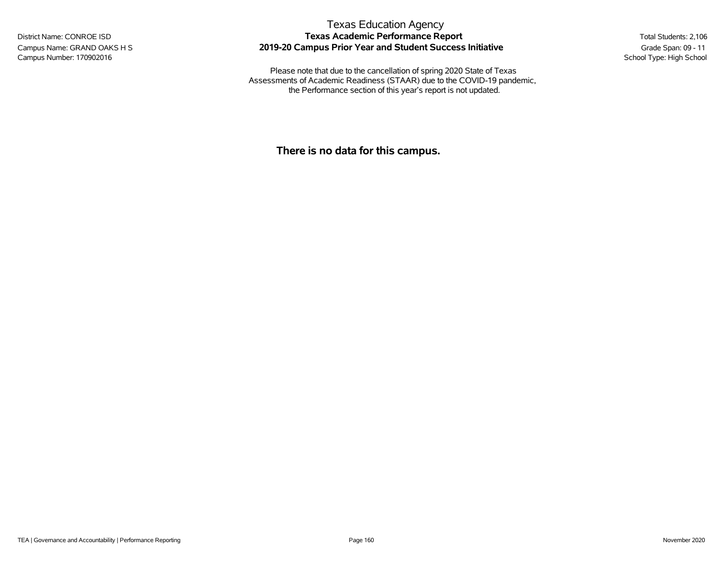Campus Number: 170902016 School Type: High School Type: High School Type: High School Type: High School

### Texas Education Agency District Name: CONROE ISD **Texas Academic Performance Report Texas Academic Performance Report** Total Students: 2,106 Campus Name: GRAND OAKS H S **2019-20 Campus Prior Year and Student Success Initiative** Grade Span: 09 - 11

Please note that due to the cancellation of spring 2020 State of Texas Assessments of Academic Readiness (STAAR) due to the COVID-19 pandemic, the Performance section of this year's report is not updated.

**There is no data for this campus.**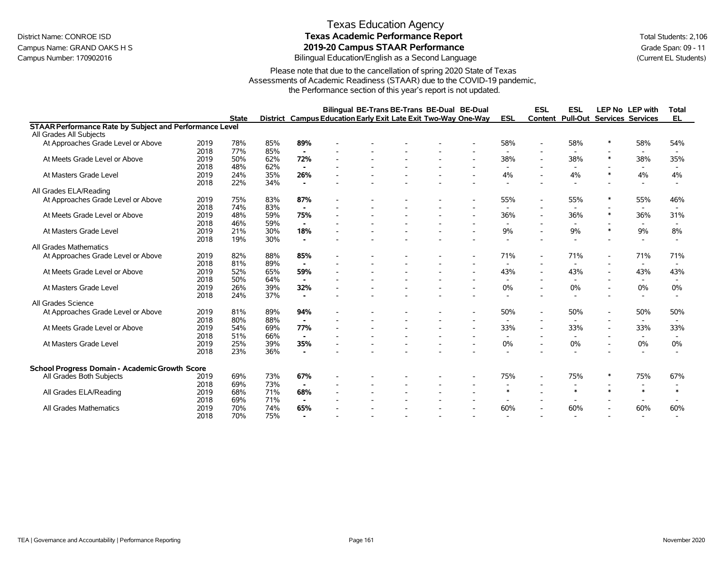### Texas Education Agency

### District Name: CONROE ISD **Texas Academic Performance Report Texas Academic Performance Report** Total Students: 2,106 Campus Name: GRAND OAKS H S **2019-20 Campus STAAR Performance** Grade Span: 09 - 11

Campus Number: 170902016 **Current EL Students** Bilingual Education/English as a Second Language (Current EL Students)

#### Please note that due to the cancellation of spring 2020 State of Texas Assessments of Academic Readiness (STAAR) due to the COVID-19 pandemic, the Performance section of this year's report is not updated.

| Bilingual BE-Trans BE-Trans BE-Dual BE-Dual                                                                 | <b>ESL</b><br><b>ESL</b>        | LEP No LEP with                                  | <b>Total</b> |
|-------------------------------------------------------------------------------------------------------------|---------------------------------|--------------------------------------------------|--------------|
| District Campus Education Early Exit Late Exit Two-Way One-Way<br><b>ESL</b><br><b>State</b>                | Content                         | <b>Pull-Out Services Services</b>                | EL           |
| <b>STAAR Performance Rate by Subject and Performance Level</b>                                              |                                 |                                                  |              |
| All Grades All Subjects                                                                                     |                                 |                                                  |              |
| At Approaches Grade Level or Above<br>78%<br>85%<br>2019<br>89%<br>58%                                      | 58%                             | 58%<br>$\ast$                                    | 54%          |
| 2018<br>77%<br>85%<br>$\overline{\phantom{a}}$                                                              |                                 | $\overline{\phantom{a}}$                         |              |
| At Meets Grade Level or Above<br>50%<br>62%<br>38%<br>2019<br>72%<br>$\sim$                                 | 38%<br>$\sim$                   | $\ast$<br>38%                                    | 35%          |
| 62%<br>2018<br>48%                                                                                          |                                 |                                                  |              |
| At Masters Grade Level<br>2019<br>35%<br>26%<br>4%<br>24%<br>$\overline{a}$                                 | 4%                              | $\ast$<br>4%                                     | 4%           |
| 22%<br>34%<br>2018<br>$\overline{\phantom{a}}$<br>$\overline{\phantom{a}}$                                  |                                 |                                                  |              |
| All Grades ELA/Reading                                                                                      |                                 |                                                  |              |
| 2019<br>75%<br>83%<br>87%<br>55%<br>At Approaches Grade Level or Above<br>$\overline{\phantom{a}}$          | 55%                             | $\ast$<br>55%                                    | 46%          |
| 2018<br>74%<br>83%<br>$\overline{\phantom{a}}$                                                              |                                 | $\overline{\phantom{a}}$                         |              |
| At Meets Grade Level or Above<br>2019<br>48%<br>59%<br>36%<br>75%<br>$\overline{\phantom{a}}$               | 36%                             | $\ast$<br>36%                                    | 31%          |
| 46%<br>2018<br>59%<br>$\blacksquare$<br>$\overline{\phantom{a}}$                                            |                                 |                                                  |              |
| 9%<br>At Masters Grade Level<br>18%<br>2019<br>21%<br>30%<br>$\sim$                                         | 9%                              | $\ast$<br>9%                                     | 8%           |
| 2018<br>19%<br>30%<br>$\sim$<br>$\overline{\phantom{0}}$                                                    |                                 |                                                  |              |
| All Grades Mathematics                                                                                      |                                 |                                                  |              |
| At Approaches Grade Level or Above<br>2019<br>82%<br>88%<br>85%<br>71%<br>$\overline{\phantom{a}}$          | 71%                             | 71%<br>$\overline{\phantom{a}}$                  | 71%          |
| 81%<br>89%<br>2018<br>$\overline{\phantom{0}}$                                                              |                                 | $\sim$                                           |              |
| At Meets Grade Level or Above<br>2019<br>52%<br>43%<br>65%<br>59%<br>$\blacksquare$                         | 43%                             | 43%<br>$\overline{\phantom{a}}$                  | 43%          |
| 2018<br>50%<br>64%<br>$\overline{\phantom{a}}$                                                              |                                 |                                                  |              |
| At Masters Grade Level<br>26%<br>39%<br>0%<br>2019<br>32%<br>$\blacksquare$                                 | $0\%$                           | 0%<br>$\overline{\phantom{a}}$                   | 0%           |
| 37%<br>2018<br>24%<br>$\sim$                                                                                |                                 |                                                  |              |
| All Grades Science                                                                                          |                                 |                                                  |              |
| 2019<br>At Approaches Grade Level or Above<br>81%<br>89%<br>94%<br>50%<br>$\overline{\phantom{a}}$          | 50%<br>$\overline{\phantom{a}}$ | 50%<br>$\blacksquare$                            | 50%          |
| 2018<br>80%<br>88%                                                                                          |                                 |                                                  |              |
| 33%<br>At Meets Grade Level or Above<br>2019<br>54%<br>69%<br>77%<br>$\mathbf{r}$                           | 33%                             | 33%<br>$\overline{a}$                            | 33%          |
| 51%<br>66%<br>2018<br>$\overline{\phantom{a}}$<br>$\mathbf{r}$                                              |                                 |                                                  |              |
| At Masters Grade Level<br>25%<br>39%<br>0%<br>2019<br>35%<br>23%<br>2018<br>36%<br>$\overline{\phantom{a}}$ | 0%                              | 0%<br>$\overline{\phantom{a}}$<br>$\overline{a}$ | 0%           |
|                                                                                                             |                                 |                                                  |              |
| School Progress Domain - Academic Growth Score                                                              |                                 |                                                  |              |
| 69%<br>73%<br>67%<br>75%<br>2019                                                                            | 75%                             | $\ast$<br>75%                                    | 67%          |
| All Grades Both Subjects<br>$\overline{\phantom{a}}$<br>69%<br>73%<br>2018<br>$\blacksquare$                |                                 |                                                  |              |
| All Grades ELA/Reading<br>2019<br>68%<br>71%<br>68%<br>$\ast$                                               | $\ast$                          | $\ast$<br>$\ast$                                 | $\ast$       |
| 2018<br>69%<br>71%                                                                                          |                                 |                                                  |              |
| All Grades Mathematics<br>2019<br>70%<br>74%<br>60%<br>65%                                                  | 60%                             | 60%                                              | 60%          |
| 2018<br>70%<br>75%                                                                                          |                                 |                                                  |              |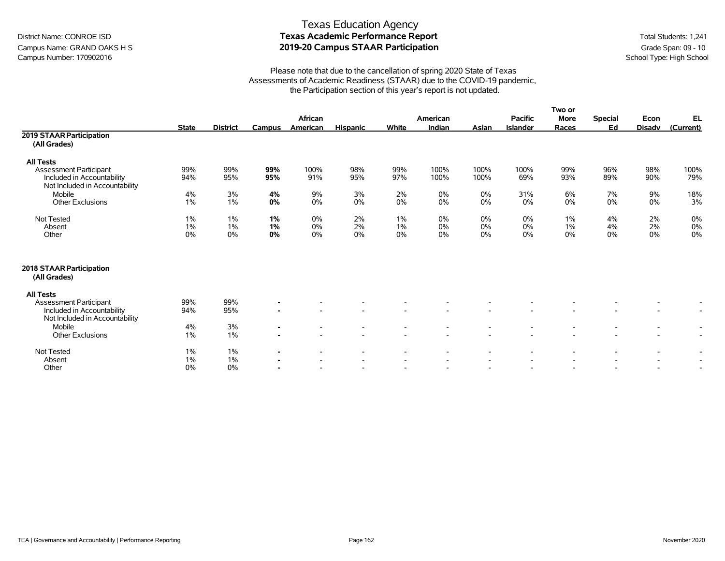### Texas Education Agency District Name: CONROE ISD **Texas Academic Performance Report Texas Academic Performance Report** Total Students: 1,241 Campus Name: GRAND OAKS H S **2019-20 Campus STAAR Participation**2019-20 Campus STAAR Participation
Campus Name: GRAND OAKS H S

### Please note that due to the cancellation of spring 2020 State of Texas Assessments of Academic Readiness (STAAR) due to the COVID-19 pandemic, the Participation section of this year's report is not updated.

|                                          |              |                 |                |          |                          |       |                          |       |                 | Two or                   |                          |                          |                          |
|------------------------------------------|--------------|-----------------|----------------|----------|--------------------------|-------|--------------------------|-------|-----------------|--------------------------|--------------------------|--------------------------|--------------------------|
|                                          |              |                 |                | African  |                          |       | American                 |       | <b>Pacific</b>  | <b>More</b>              | <b>Special</b>           | Econ                     | <b>EL</b>                |
|                                          | <b>State</b> | <b>District</b> | <b>Campus</b>  | American | <b>Hispanic</b>          | White | Indian                   | Asian | <b>Islander</b> | Races                    | Ed                       | <b>Disadv</b>            | (Current)                |
| 2019 STAAR Participation                 |              |                 |                |          |                          |       |                          |       |                 |                          |                          |                          |                          |
| (All Grades)                             |              |                 |                |          |                          |       |                          |       |                 |                          |                          |                          |                          |
| <b>All Tests</b>                         |              |                 |                |          |                          |       |                          |       |                 |                          |                          |                          |                          |
| Assessment Participant                   | 99%          | 99%             | 99%            | 100%     | 98%                      | 99%   | 100%                     | 100%  | 100%            | 99%                      | 96%                      | 98%                      | 100%                     |
| Included in Accountability               | 94%          | 95%             | 95%            | 91%      | 95%                      | 97%   | 100%                     | 100%  | 69%             | 93%                      | 89%                      | 90%                      | 79%                      |
| Not Included in Accountability           |              |                 |                |          |                          |       |                          |       |                 |                          |                          |                          |                          |
| Mobile                                   | 4%           | 3%              | 4%             | 9%       | 3%                       | 2%    | 0%                       | 0%    | 31%             | 6%                       | 7%                       | 9%                       | 18%                      |
| Other Exclusions                         | 1%           | 1%              | 0%             | 0%       | 0%                       | $0\%$ | 0%                       | 0%    | 0%              | $0\%$                    | 0%                       | 0%                       | 3%                       |
|                                          |              |                 |                |          |                          |       |                          |       |                 |                          |                          |                          |                          |
| Not Tested                               | 1%           | 1%              | 1%             | 0%       | 2%                       | 1%    | 0%                       | $0\%$ | 0%              | 1%                       | 4%                       | 2%                       | 0%                       |
| Absent                                   | 1%           | 1%              | 1%             | 0%       | 2%                       | $1\%$ | 0%                       | 0%    | 0%              | $1\%$                    | 4%                       | 2%                       | 0%                       |
| Other                                    | 0%           | 0%              | 0%             | $0\%$    | 0%                       | $0\%$ | $0\%$                    | 0%    | 0%              | 0%                       | 0%                       | 0%                       | 0%                       |
|                                          |              |                 |                |          |                          |       |                          |       |                 |                          |                          |                          |                          |
| 2018 STAAR Participation<br>(All Grades) |              |                 |                |          |                          |       |                          |       |                 |                          |                          |                          |                          |
| <b>All Tests</b>                         |              |                 |                |          |                          |       |                          |       |                 |                          |                          |                          |                          |
| <b>Assessment Participant</b>            | 99%          | 99%             |                |          |                          |       |                          |       |                 |                          |                          |                          |                          |
| Included in Accountability               | 94%          | 95%             |                |          | $\overline{\phantom{a}}$ |       | $\overline{\phantom{a}}$ |       |                 | $\overline{\phantom{a}}$ |                          | $\overline{\phantom{a}}$ | $\overline{\phantom{a}}$ |
| Not Included in Accountability           |              |                 |                |          |                          |       |                          |       |                 |                          |                          |                          |                          |
| Mobile                                   | 4%           | 3%              | $\blacksquare$ |          | $\overline{\phantom{a}}$ |       | $\overline{\phantom{a}}$ |       |                 | $\overline{\phantom{a}}$ |                          |                          | $\overline{\phantom{a}}$ |
| Other Exclusions                         | 1%           | 1%              | $\blacksquare$ |          | $\overline{\phantom{0}}$ |       |                          |       |                 |                          |                          | $\overline{\phantom{0}}$ | $\sim$                   |
|                                          |              |                 |                |          |                          |       |                          |       |                 |                          |                          |                          |                          |
| Not Tested                               | 1%           | 1%              |                |          | $\overline{\phantom{a}}$ |       | $\overline{\phantom{a}}$ |       |                 | $\overline{\phantom{a}}$ |                          | $\overline{\phantom{a}}$ | $\overline{\phantom{a}}$ |
| Absent                                   | 1%           | $1\%$           |                |          |                          |       |                          |       |                 | $\overline{\phantom{a}}$ |                          |                          | $\overline{\phantom{a}}$ |
| Other                                    | 0%           | $0\%$           |                |          | $\overline{\phantom{0}}$ |       | $\overline{\phantom{a}}$ |       |                 | $\overline{\phantom{a}}$ | $\overline{\phantom{a}}$ |                          | $\sim$                   |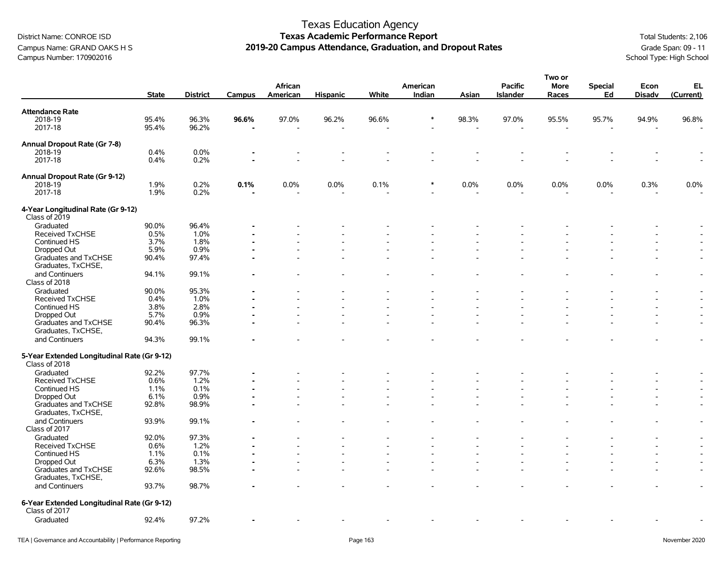### Campus Name: GRAND OAKS H S **2019-20 Campus Attendance, Graduation, and Dropout Rates** Grame Span: 09 - 11<br>Campus Number: 170902016<br>School Type: High School Campus Number: 170902016

|                                                              |              |                 |        |                     |                 |       |                    |       |                                   | Two or               |                      |                       |                          |
|--------------------------------------------------------------|--------------|-----------------|--------|---------------------|-----------------|-------|--------------------|-------|-----------------------------------|----------------------|----------------------|-----------------------|--------------------------|
|                                                              | <b>State</b> | <b>District</b> | Campus | African<br>American | <b>Hispanic</b> | White | American<br>Indian | Asian | <b>Pacific</b><br><b>Islander</b> | <b>More</b><br>Races | <b>Special</b><br>Ed | Econ<br><b>Disadv</b> | EL<br>(Current)          |
| <b>Attendance Rate</b>                                       |              |                 |        |                     |                 |       |                    |       |                                   |                      |                      |                       |                          |
| 2018-19                                                      | 95.4%        | 96.3%           | 96.6%  | 97.0%               | 96.2%           | 96.6% |                    | 98.3% | 97.0%                             | 95.5%                | 95.7%                | 94.9%                 | 96.8%                    |
| 2017-18                                                      | 95.4%        | 96.2%           |        |                     |                 |       |                    |       |                                   |                      |                      |                       |                          |
| Annual Dropout Rate (Gr 7-8)                                 |              |                 |        |                     |                 |       |                    |       |                                   |                      |                      |                       |                          |
| 2018-19                                                      | 0.4%         | 0.0%            |        |                     |                 |       |                    |       |                                   |                      |                      |                       |                          |
| 2017-18                                                      | 0.4%         | 0.2%            |        |                     |                 |       |                    |       |                                   |                      |                      |                       |                          |
| <b>Annual Dropout Rate (Gr 9-12)</b>                         |              |                 |        |                     |                 |       |                    |       |                                   |                      |                      |                       |                          |
| 2018-19                                                      | 1.9%         | 0.2%            | 0.1%   | 0.0%                | $0.0\%$         | 0.1%  | $\ast$             | 0.0%  | 0.0%                              | 0.0%                 | 0.0%                 | 0.3%                  | 0.0%                     |
| 2017-18                                                      | 1.9%         | 0.2%            |        |                     |                 |       |                    |       |                                   |                      |                      |                       |                          |
| 4-Year Longitudinal Rate (Gr 9-12)<br>Class of 2019          |              |                 |        |                     |                 |       |                    |       |                                   |                      |                      |                       |                          |
| Graduated                                                    | 90.0%        | 96.4%           |        |                     |                 |       |                    |       |                                   |                      |                      |                       |                          |
| Received TxCHSE                                              | 0.5%         | 1.0%            |        |                     |                 |       |                    |       |                                   |                      |                      |                       |                          |
| Continued HS                                                 | 3.7%         | 1.8%            |        |                     |                 |       |                    |       |                                   |                      |                      |                       |                          |
| Dropped Out                                                  | 5.9%         | 0.9%            |        |                     |                 |       |                    |       |                                   |                      |                      |                       |                          |
| Graduates and TxCHSE                                         | 90.4%        | 97.4%           |        |                     |                 |       |                    |       |                                   |                      |                      |                       |                          |
| Graduates, TxCHSE,                                           |              |                 |        |                     |                 |       |                    |       |                                   |                      |                      |                       |                          |
| and Continuers<br>Class of 2018                              | 94.1%        | 99.1%           |        |                     |                 |       |                    |       |                                   |                      |                      |                       | $\blacksquare$           |
| Graduated                                                    | 90.0%        | 95.3%           |        |                     |                 |       |                    |       |                                   |                      |                      |                       | $\blacksquare$           |
| Received TxCHSE                                              | 0.4%         | 1.0%            |        |                     |                 |       |                    |       |                                   |                      |                      |                       |                          |
| Continued HS                                                 | 3.8%         | 2.8%            |        |                     |                 |       |                    |       |                                   |                      |                      |                       |                          |
| Dropped Out                                                  | 5.7%         | 0.9%            |        |                     |                 |       |                    |       |                                   |                      |                      |                       |                          |
|                                                              |              |                 |        |                     |                 |       |                    |       |                                   |                      |                      |                       |                          |
| Graduates and TxCHSE<br>Graduates, TxCHSE,                   | 90.4%        | 96.3%           |        |                     |                 |       |                    |       |                                   |                      |                      |                       | $\blacksquare$           |
| and Continuers                                               | 94.3%        | 99.1%           |        |                     |                 |       |                    |       |                                   |                      |                      |                       |                          |
| 5-Year Extended Longitudinal Rate (Gr 9-12)<br>Class of 2018 |              |                 |        |                     |                 |       |                    |       |                                   |                      |                      |                       |                          |
| Graduated                                                    | 92.2%        | 97.7%           |        |                     |                 |       |                    |       |                                   |                      |                      |                       |                          |
| Received TxCHSE                                              | 0.6%         | 1.2%            |        |                     |                 |       |                    |       |                                   |                      |                      |                       |                          |
| Continued HS                                                 | 1.1%         | 0.1%            |        |                     |                 |       |                    |       |                                   |                      |                      |                       |                          |
| Dropped Out                                                  | 6.1%         | 0.9%            |        |                     |                 |       |                    |       |                                   |                      |                      |                       |                          |
| Graduates and TxCHSE                                         | 92.8%        | 98.9%           |        |                     |                 |       |                    |       |                                   |                      |                      |                       |                          |
| Graduates, TxCHSE,<br>and Continuers                         | 93.9%        | 99.1%           |        |                     |                 |       |                    |       |                                   |                      |                      |                       | $\overline{\phantom{a}}$ |
| Class of 2017                                                |              |                 |        |                     |                 |       |                    |       |                                   |                      |                      |                       |                          |
| Graduated                                                    | 92.0%        | 97.3%           |        |                     |                 |       |                    |       |                                   |                      |                      |                       |                          |
| Received TxCHSE                                              | 0.6%         | 1.2%            |        |                     |                 |       |                    |       |                                   |                      |                      |                       |                          |
| Continued HS                                                 | 1.1%         | 0.1%            |        |                     |                 |       |                    |       |                                   |                      |                      |                       |                          |
| Dropped Out                                                  | 6.3%         | 1.3%            |        |                     |                 |       |                    |       |                                   |                      |                      |                       | $\overline{a}$           |
| Graduates and TxCHSE<br>Graduates, TxCHSE,                   | 92.6%        | 98.5%           |        |                     |                 |       |                    |       |                                   |                      |                      |                       |                          |
| and Continuers                                               | 93.7%        | 98.7%           |        |                     |                 |       |                    |       |                                   |                      |                      |                       |                          |
| 6-Year Extended Longitudinal Rate (Gr 9-12)                  |              |                 |        |                     |                 |       |                    |       |                                   |                      |                      |                       |                          |
| Class of 2017                                                |              |                 |        |                     |                 |       |                    |       |                                   |                      |                      |                       |                          |
| Graduated                                                    | 92.4%        | 97.2%           |        |                     |                 |       |                    |       |                                   |                      |                      |                       |                          |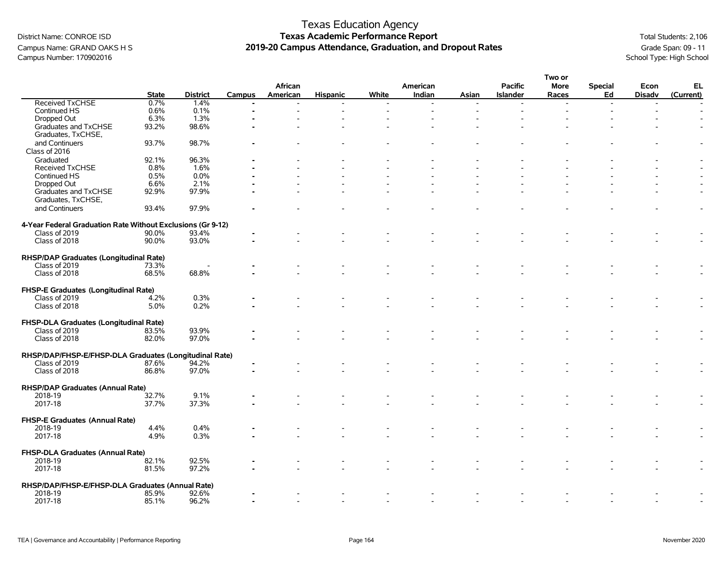# Campus Number: 170902016

### Texas Education Agency District Name: CONROE ISD **Texas Academic Performance Report Texas Academic Performance Report** Total Students: 2,106 Campus Name: GRAND OAKS H S **2019-20 Campus Attendance, Graduation, and Dropout Rates** Grame Span: 09 - 11<br>Campus Number: 170902016<br>School Type: High School

|                                                             |              |                 |               |          |                 |       |          |       |                 | Two or      |                          |               |           |
|-------------------------------------------------------------|--------------|-----------------|---------------|----------|-----------------|-------|----------|-------|-----------------|-------------|--------------------------|---------------|-----------|
|                                                             |              |                 |               | African  |                 |       | American |       | <b>Pacific</b>  | <b>More</b> | <b>Special</b>           | Econ          | EL        |
|                                                             | <b>State</b> | <b>District</b> | <b>Campus</b> | American | <b>Hispanic</b> | White | Indian   | Asian | <b>Islander</b> | Races       | Ed                       | <b>Disadv</b> | (Current) |
| <b>Received TxCHSE</b>                                      | 0.7%         | 1.4%            |               |          |                 |       |          |       |                 |             | $\overline{\phantom{a}}$ |               |           |
| Continued HS                                                | 0.6%         | 0.1%            |               |          |                 |       |          |       |                 |             |                          |               |           |
| Dropped Out                                                 | 6.3%         | 1.3%            |               |          |                 |       |          |       |                 |             |                          |               |           |
| Graduates and TxCHSE                                        | 93.2%        | 98.6%           |               |          |                 |       |          |       |                 |             |                          |               |           |
| Graduates, TxCHSE,                                          |              |                 |               |          |                 |       |          |       |                 |             |                          |               |           |
| and Continuers                                              | 93.7%        | 98.7%           |               |          |                 |       |          |       |                 |             |                          |               |           |
| Class of 2016                                               |              |                 |               |          |                 |       |          |       |                 |             |                          |               |           |
| Graduated                                                   | 92.1%        | 96.3%           |               |          |                 |       |          |       |                 |             |                          |               |           |
| <b>Received TxCHSE</b>                                      | 0.8%         | 1.6%            |               |          |                 |       |          |       |                 |             |                          |               |           |
| Continued HS                                                | 0.5%         | $0.0\%$         |               |          |                 |       |          |       |                 |             |                          |               |           |
| Dropped Out                                                 | 6.6%         | 2.1%            |               |          |                 |       |          |       |                 |             |                          |               |           |
| Graduates and TxCHSE                                        | 92.9%        | 97.9%           |               |          |                 |       |          |       |                 |             |                          |               |           |
|                                                             |              |                 |               |          |                 |       |          |       |                 |             |                          |               |           |
| Graduates, TxCHSE,                                          |              |                 |               |          |                 |       |          |       |                 |             |                          |               |           |
| and Continuers                                              | 93.4%        | 97.9%           |               |          |                 |       |          |       |                 |             |                          |               |           |
|                                                             |              |                 |               |          |                 |       |          |       |                 |             |                          |               |           |
| 4-Year Federal Graduation Rate Without Exclusions (Gr 9-12) |              |                 |               |          |                 |       |          |       |                 |             |                          |               |           |
| Class of 2019                                               | 90.0%        | 93.4%           |               |          |                 |       |          |       |                 |             |                          |               |           |
| Class of 2018                                               | 90.0%        | 93.0%           |               |          |                 |       |          |       |                 |             |                          |               |           |
|                                                             |              |                 |               |          |                 |       |          |       |                 |             |                          |               |           |
| RHSP/DAP Graduates (Longitudinal Rate)                      |              |                 |               |          |                 |       |          |       |                 |             |                          |               |           |
| Class of 2019                                               | 73.3%        |                 |               |          |                 |       |          |       |                 |             |                          |               |           |
| Class of 2018                                               | 68.5%        | 68.8%           |               |          |                 |       |          |       |                 |             |                          |               |           |
|                                                             |              |                 |               |          |                 |       |          |       |                 |             |                          |               |           |
| FHSP-E Graduates (Longitudinal Rate)                        |              |                 |               |          |                 |       |          |       |                 |             |                          |               |           |
| Class of 2019                                               | 4.2%         | 0.3%            |               |          |                 |       |          |       |                 |             |                          |               |           |
| Class of 2018                                               | 5.0%         | 0.2%            |               |          |                 |       |          |       |                 |             |                          |               | $\sim$    |
|                                                             |              |                 |               |          |                 |       |          |       |                 |             |                          |               |           |
| FHSP-DLA Graduates (Longitudinal Rate)                      |              |                 |               |          |                 |       |          |       |                 |             |                          |               |           |
| Class of 2019                                               | 83.5%        | 93.9%           |               |          |                 |       |          |       |                 |             |                          |               |           |
| Class of 2018                                               | 82.0%        | 97.0%           |               |          |                 |       |          |       |                 |             |                          |               |           |
|                                                             |              |                 |               |          |                 |       |          |       |                 |             |                          |               |           |
| RHSP/DAP/FHSP-E/FHSP-DLA Graduates (Longitudinal Rate)      |              |                 |               |          |                 |       |          |       |                 |             |                          |               |           |
| Class of 2019                                               | 87.6%        | 94.2%           |               |          |                 |       |          |       |                 |             |                          |               |           |
| Class of 2018                                               | 86.8%        | 97.0%           |               |          |                 |       |          |       |                 |             |                          |               |           |
|                                                             |              |                 |               |          |                 |       |          |       |                 |             |                          |               |           |
| RHSP/DAP Graduates (Annual Rate)                            |              |                 |               |          |                 |       |          |       |                 |             |                          |               |           |
| 2018-19                                                     | 32.7%        | 9.1%            |               |          |                 |       |          |       |                 |             |                          |               |           |
| 2017-18                                                     | 37.7%        | 37.3%           |               |          |                 |       |          |       |                 |             |                          |               |           |
|                                                             |              |                 |               |          |                 |       |          |       |                 |             |                          |               |           |
| FHSP-E Graduates (Annual Rate)                              |              |                 |               |          |                 |       |          |       |                 |             |                          |               |           |
| 2018-19                                                     | 4.4%         | 0.4%            |               |          |                 |       |          |       |                 |             |                          |               |           |
| 2017-18                                                     | 4.9%         | 0.3%            |               |          |                 |       |          |       |                 |             |                          |               |           |
|                                                             |              |                 |               |          |                 |       |          |       |                 |             |                          |               |           |
| FHSP-DLA Graduates (Annual Rate)                            |              |                 |               |          |                 |       |          |       |                 |             |                          |               |           |
|                                                             |              |                 |               |          |                 |       |          |       |                 |             |                          |               |           |
| 2018-19                                                     | 82.1%        | 92.5%           |               |          |                 |       |          |       |                 |             |                          |               |           |
| 2017-18                                                     | 81.5%        | 97.2%           |               |          |                 |       |          |       |                 |             |                          |               |           |
|                                                             |              |                 |               |          |                 |       |          |       |                 |             |                          |               |           |
| RHSP/DAP/FHSP-E/FHSP-DLA Graduates (Annual Rate)            |              |                 |               |          |                 |       |          |       |                 |             |                          |               |           |
| 2018-19                                                     | 85.9%        | 92.6%           |               |          |                 |       |          |       |                 |             |                          |               |           |
| 2017-18                                                     | 85.1%        | 96.2%           |               |          |                 |       |          |       |                 |             |                          |               |           |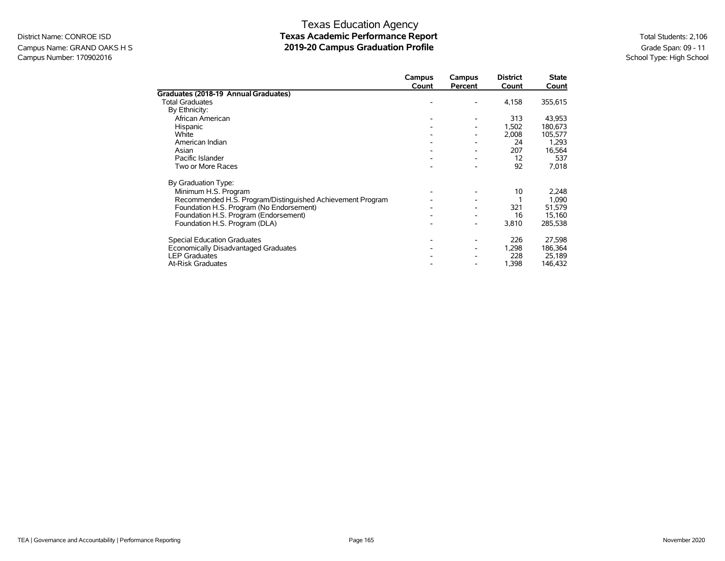|                                                            | Campus<br>Count | Campus<br>Percent | <b>District</b><br>Count | State<br>Count |
|------------------------------------------------------------|-----------------|-------------------|--------------------------|----------------|
| Graduates (2018-19 Annual Graduates)                       |                 |                   |                          |                |
| <b>Total Graduates</b>                                     |                 |                   | 4,158                    | 355,615        |
| By Ethnicity:                                              |                 |                   |                          |                |
| African American                                           |                 |                   | 313                      | 43,953         |
| Hispanic                                                   |                 |                   | 1,502                    | 180,673        |
| White                                                      |                 |                   | 2,008                    | 105,577        |
| American Indian                                            |                 |                   | 24                       | 1,293          |
| Asian                                                      |                 |                   | 207                      | 16,564         |
| Pacific Islander                                           |                 |                   | 12                       | 537            |
| Two or More Races                                          |                 |                   | 92                       | 7,018          |
| By Graduation Type:                                        |                 |                   |                          |                |
| Minimum H.S. Program                                       |                 |                   | 10                       | 2,248          |
| Recommended H.S. Program/Distinguished Achievement Program |                 |                   |                          | 1,090          |
| Foundation H.S. Program (No Endorsement)                   |                 |                   | 321                      | 51,579         |
| Foundation H.S. Program (Endorsement)                      |                 |                   | 16                       | 15,160         |
| Foundation H.S. Program (DLA)                              |                 |                   | 3,810                    | 285,538        |
| <b>Special Education Graduates</b>                         |                 |                   | 226                      | 27,598         |
| Economically Disadvantaged Graduates                       |                 |                   | 1,298                    | 186,364        |
| <b>LEP Graduates</b>                                       |                 |                   | 228                      | 25,189         |
| <b>At-Risk Graduates</b>                                   |                 |                   | 1,398                    | 146,432        |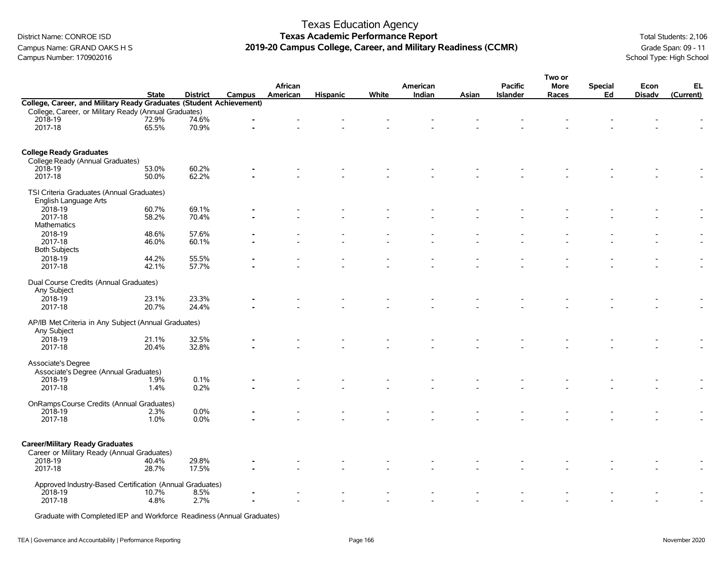# Campus Number: 170902016

### Texas Education Agency District Name: CONROE ISD **Texas Academic Performance Report Texas Academic Performance Report** Total Students: 2,106 Campus Name: GRAND OAKS H S **2019-20 Campus College, Career, and Military Readiness (CCMR)** Grade Span: 09 - 11<br>Campus Number: 170902016 School Type: High School

|                                                                     |              |                 |        |          |                 |       |                          |       |                 | Two or |         |               |                |
|---------------------------------------------------------------------|--------------|-----------------|--------|----------|-----------------|-------|--------------------------|-------|-----------------|--------|---------|---------------|----------------|
|                                                                     |              |                 |        | African  |                 |       | American                 |       | Pacific         | More   | Special | Econ          | EL             |
|                                                                     | <b>State</b> | <b>District</b> | Campus | American | <b>Hispanic</b> | White | Indian                   | Asian | <b>Islander</b> | Races  | Ed      | <b>Disadv</b> | (Current)      |
| College, Career, and Military Ready Graduates (Student Achievement) |              |                 |        |          |                 |       |                          |       |                 |        |         |               |                |
| College, Career, or Military Ready (Annual Graduates)               |              |                 |        |          |                 |       |                          |       |                 |        |         |               |                |
| 2018-19                                                             | 72.9%        | 74.6%           |        |          |                 |       |                          |       |                 |        |         |               |                |
| 2017-18                                                             | 65.5%        | 70.9%           |        |          |                 |       |                          |       |                 |        |         |               |                |
|                                                                     |              |                 |        |          |                 |       |                          |       |                 |        |         |               |                |
| <b>College Ready Graduates</b>                                      |              |                 |        |          |                 |       |                          |       |                 |        |         |               |                |
| College Ready (Annual Graduates)                                    |              |                 |        |          |                 |       |                          |       |                 |        |         |               |                |
| 2018-19                                                             | 53.0%        | 60.2%           |        |          |                 |       |                          |       |                 |        |         |               |                |
| 2017-18                                                             | 50.0%        | 62.2%           |        |          |                 |       |                          |       |                 |        |         |               |                |
| TSI Criteria Graduates (Annual Graduates)                           |              |                 |        |          |                 |       |                          |       |                 |        |         |               |                |
| English Language Arts                                               |              |                 |        |          |                 |       |                          |       |                 |        |         |               |                |
| 2018-19                                                             | 60.7%        | 69.1%           |        |          |                 |       |                          |       |                 |        |         |               |                |
| 2017-18                                                             | 58.2%        | 70.4%           |        |          |                 |       |                          |       |                 |        |         |               |                |
| <b>Mathematics</b>                                                  |              |                 |        |          |                 |       |                          |       |                 |        |         |               |                |
| 2018-19                                                             | 48.6%        | 57.6%           |        |          |                 |       |                          |       |                 |        |         |               |                |
| 2017-18                                                             | 46.0%        | 60.1%           |        |          |                 |       |                          |       |                 |        |         |               | $\blacksquare$ |
| <b>Both Subjects</b>                                                |              |                 |        |          |                 |       |                          |       |                 |        |         |               |                |
| 2018-19                                                             | 44.2%        | 55.5%           |        |          |                 |       |                          |       |                 |        |         |               |                |
| 2017-18                                                             | 42.1%        | 57.7%           |        |          |                 |       |                          |       |                 |        |         |               |                |
| Dual Course Credits (Annual Graduates)                              |              |                 |        |          |                 |       |                          |       |                 |        |         |               |                |
| Any Subject                                                         |              |                 |        |          |                 |       |                          |       |                 |        |         |               |                |
| 2018-19                                                             | 23.1%        | 23.3%           |        |          |                 |       |                          |       |                 |        |         |               |                |
| 2017-18                                                             | 20.7%        | 24.4%           |        |          |                 |       |                          |       |                 |        |         |               |                |
|                                                                     |              |                 |        |          |                 |       |                          |       |                 |        |         |               |                |
| AP/IB Met Criteria in Any Subject (Annual Graduates)                |              |                 |        |          |                 |       |                          |       |                 |        |         |               |                |
| Any Subject                                                         |              |                 |        |          |                 |       |                          |       |                 |        |         |               |                |
| 2018-19                                                             | 21.1%        | 32.5%           |        |          |                 |       |                          |       |                 |        |         |               |                |
| 2017-18                                                             | 20.4%        | 32.8%           |        |          |                 |       |                          |       |                 |        |         |               |                |
| Associate's Degree                                                  |              |                 |        |          |                 |       |                          |       |                 |        |         |               |                |
| Associate's Degree (Annual Graduates)                               |              |                 |        |          |                 |       |                          |       |                 |        |         |               |                |
| 2018-19                                                             | 1.9%         | 0.1%            |        |          |                 |       |                          |       |                 |        |         |               |                |
| 2017-18                                                             | 1.4%         | 0.2%            |        |          |                 |       |                          |       |                 |        |         |               |                |
| OnRamps Course Credits (Annual Graduates)                           |              |                 |        |          |                 |       |                          |       |                 |        |         |               |                |
| 2018-19                                                             | 2.3%         | 0.0%            |        |          |                 |       |                          |       |                 |        |         |               |                |
| 2017-18                                                             | 1.0%         | 0.0%            |        |          |                 |       |                          |       |                 |        |         |               |                |
|                                                                     |              |                 |        |          |                 |       |                          |       |                 |        |         |               |                |
| <b>Career/Military Ready Graduates</b>                              |              |                 |        |          |                 |       |                          |       |                 |        |         |               |                |
| Career or Military Ready (Annual Graduates)                         |              |                 |        |          |                 |       |                          |       |                 |        |         |               |                |
| 2018-19                                                             | 40.4%        | 29.8%           |        |          |                 |       |                          |       |                 |        |         |               |                |
| 2017-18                                                             | 28.7%        | 17.5%           |        |          |                 |       |                          |       |                 |        |         |               |                |
| Approved Industry-Based Certification (Annual Graduates)            |              |                 |        |          |                 |       |                          |       |                 |        |         |               |                |
| 2018-19                                                             | 10.7%        | 8.5%            |        |          |                 |       |                          |       |                 |        |         |               |                |
| 2017-18                                                             | 4.8%         | 2.7%            |        |          |                 |       | $\overline{\phantom{a}}$ |       |                 |        |         |               |                |

Graduate with Completed IEP and Workforce Readiness (Annual Graduates)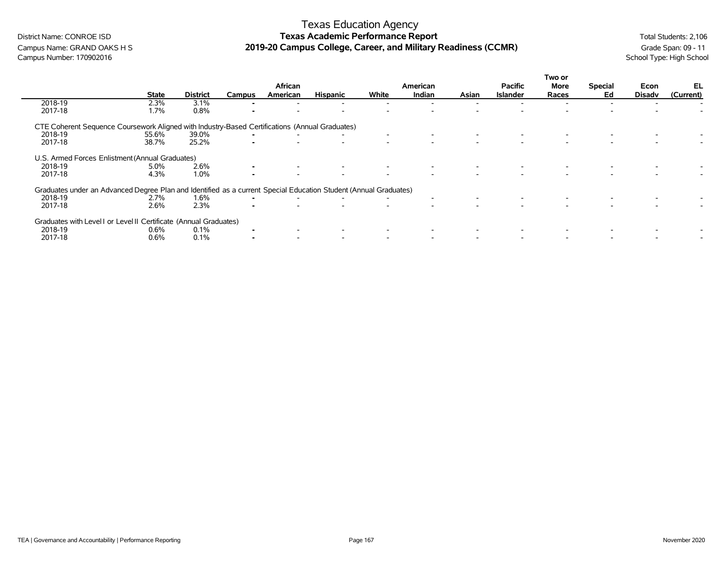# Campus Number: 170902016

### Texas Education Agency District Name: CONROE ISD **Texas Academic Performance Report Texas Academic Performance Report** Total Students: 2,106 Campus Name: GRAND OAKS H S **2019-20 Campus College, Career, and Military Readiness (CCMR)** Grade Span: 09 - 11<br>Campus Number: 170902016 School Type: High School

|                                                                                                                  |              |                 |                          |                          |                          |                          |                          |        |                          | Two or      |                          |                          |           |
|------------------------------------------------------------------------------------------------------------------|--------------|-----------------|--------------------------|--------------------------|--------------------------|--------------------------|--------------------------|--------|--------------------------|-------------|--------------------------|--------------------------|-----------|
|                                                                                                                  |              |                 |                          | African                  |                          |                          | American                 |        | <b>Pacific</b>           | <b>More</b> | <b>Special</b>           | Econ                     | EL        |
|                                                                                                                  | <b>State</b> | <b>District</b> | Campus                   | American                 | <b>Hispanic</b>          | White                    | Indian                   | Asian  | <b>Islander</b>          | Races       | Ed                       | <b>Disadv</b>            | (Current) |
| 2018-19                                                                                                          | 2.3%         | 3.1%            | $\blacksquare$           | $\overline{\phantom{0}}$ |                          |                          |                          |        |                          |             | $\overline{\phantom{a}}$ |                          |           |
| 2017-18                                                                                                          | 1.7%         | 0.8%            |                          |                          |                          |                          |                          |        |                          |             |                          |                          |           |
| CTE Coherent Sequence Coursework Aligned with Industry-Based Certifications (Annual Graduates)                   |              |                 |                          |                          |                          |                          |                          |        |                          |             |                          |                          |           |
| 2018-19                                                                                                          | 55.6%        | 39.0%           | $\sim$                   | $\overline{\phantom{a}}$ |                          |                          |                          |        |                          |             |                          |                          |           |
| 2017-18                                                                                                          | 38.7%        | 25.2%           | -                        | $\overline{\phantom{0}}$ | $\overline{\phantom{a}}$ | $\overline{\phantom{0}}$ | $\overline{\phantom{0}}$ | $\sim$ |                          |             | $\overline{\phantom{a}}$ | $\overline{\phantom{0}}$ |           |
| U.S. Armed Forces Enlistment (Annual Graduates)                                                                  |              |                 |                          |                          |                          |                          |                          |        |                          |             |                          |                          |           |
| 2018-19                                                                                                          | 5.0%         | 2.6%            | $\overline{\phantom{0}}$ | $\overline{\phantom{a}}$ |                          |                          |                          |        |                          |             |                          |                          |           |
| 2017-18                                                                                                          | 4.3%         | 1.0%            | $\overline{\phantom{0}}$ | $\overline{a}$           | $\overline{\phantom{a}}$ | $\overline{\phantom{0}}$ | $\overline{\phantom{0}}$ | $\sim$ | $\overline{\phantom{a}}$ |             | $\overline{\phantom{0}}$ |                          |           |
| Graduates under an Advanced Degree Plan and Identified as a current Special Education Student (Annual Graduates) |              |                 |                          |                          |                          |                          |                          |        |                          |             |                          |                          |           |
| 2018-19                                                                                                          | 2.7%         | 1.6%            | $\blacksquare$           | $\sim$                   |                          |                          |                          |        |                          |             |                          |                          |           |
| 2017-18                                                                                                          | 2.6%         | 2.3%            | $\overline{\phantom{0}}$ | $\overline{\phantom{0}}$ |                          |                          |                          |        |                          |             | $\overline{\phantom{a}}$ |                          |           |
| Graduates with Level I or Level II Certificate (Annual Graduates)                                                |              |                 |                          |                          |                          |                          |                          |        |                          |             |                          |                          |           |
| 2018-19                                                                                                          | 0.6%         | 0.1%            |                          | $\overline{\phantom{0}}$ |                          |                          |                          |        |                          |             |                          |                          |           |
| 2017-18                                                                                                          | 0.6%         | 0.1%            | $\overline{\phantom{0}}$ | $\overline{\phantom{a}}$ |                          |                          |                          |        |                          |             | $\overline{\phantom{a}}$ | $\overline{\phantom{0}}$ |           |
|                                                                                                                  |              |                 |                          |                          |                          |                          |                          |        |                          |             |                          |                          |           |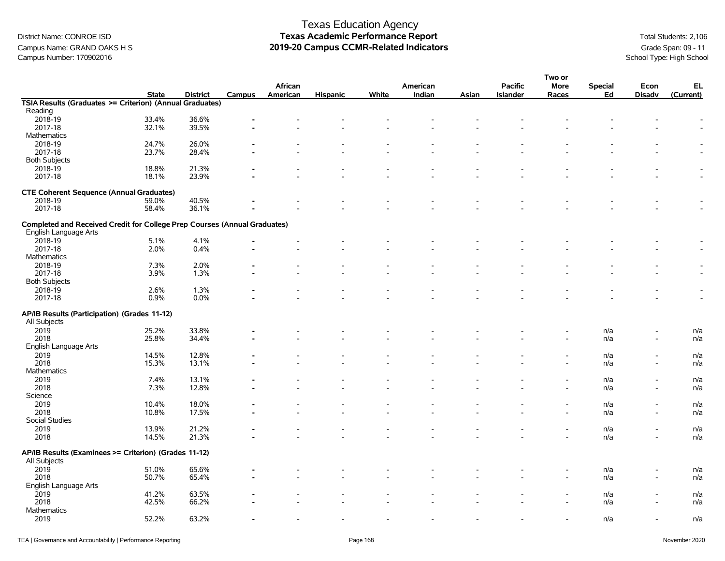|                                                                           |              |                 |        |          |                 |       |          |       |                 | Two or                   |                |                          |                          |
|---------------------------------------------------------------------------|--------------|-----------------|--------|----------|-----------------|-------|----------|-------|-----------------|--------------------------|----------------|--------------------------|--------------------------|
|                                                                           |              |                 |        | African  |                 |       | American |       | <b>Pacific</b>  | <b>More</b>              | <b>Special</b> | Econ                     | EL                       |
|                                                                           | <b>State</b> | <b>District</b> | Campus | American | <b>Hispanic</b> | White | Indian   | Asian | <b>Islander</b> | Races                    | Ed             | <b>Disadv</b>            | (Current)                |
| TSIA Results (Graduates >= Criterion) (Annual Graduates)                  |              |                 |        |          |                 |       |          |       |                 |                          |                |                          |                          |
| Reading                                                                   |              |                 |        |          |                 |       |          |       |                 |                          |                |                          |                          |
| 2018-19                                                                   | 33.4%        | 36.6%           |        |          |                 |       |          |       |                 |                          |                |                          |                          |
| 2017-18                                                                   | 32.1%        | 39.5%           |        |          |                 |       |          |       |                 |                          |                |                          |                          |
| <b>Mathematics</b>                                                        |              |                 |        |          |                 |       |          |       |                 |                          |                |                          |                          |
| 2018-19                                                                   | 24.7%        | 26.0%           |        |          |                 |       |          |       |                 |                          |                |                          |                          |
| 2017-18                                                                   | 23.7%        | 28.4%           |        |          |                 |       |          |       |                 |                          |                |                          | $\overline{a}$           |
| <b>Both Subjects</b>                                                      |              |                 |        |          |                 |       |          |       |                 |                          |                |                          |                          |
| 2018-19                                                                   | 18.8%        | 21.3%           |        |          |                 |       |          |       |                 |                          |                |                          | $\overline{\phantom{a}}$ |
| 2017-18                                                                   | 18.1%        | 23.9%           |        |          |                 |       |          |       |                 |                          |                |                          | $\overline{\phantom{a}}$ |
|                                                                           |              |                 |        |          |                 |       |          |       |                 |                          |                |                          |                          |
| <b>CTE Coherent Sequence (Annual Graduates)</b>                           |              |                 |        |          |                 |       |          |       |                 |                          |                |                          |                          |
| 2018-19                                                                   | 59.0%        | 40.5%           |        |          |                 |       |          |       |                 |                          |                |                          |                          |
| 2017-18                                                                   | 58.4%        | 36.1%           |        |          |                 |       |          |       |                 |                          |                |                          | $\blacksquare$           |
| Completed and Received Credit for College Prep Courses (Annual Graduates) |              |                 |        |          |                 |       |          |       |                 |                          |                |                          |                          |
| English Language Arts                                                     |              |                 |        |          |                 |       |          |       |                 |                          |                |                          |                          |
| 2018-19                                                                   | 5.1%         | 4.1%            |        |          |                 |       |          |       |                 |                          |                |                          |                          |
| 2017-18                                                                   | 2.0%         | 0.4%            |        |          |                 |       |          |       |                 |                          |                |                          |                          |
| Mathematics                                                               |              |                 |        |          |                 |       |          |       |                 |                          |                |                          |                          |
| 2018-19                                                                   | 7.3%         | 2.0%            |        |          |                 |       |          |       |                 |                          |                |                          |                          |
| 2017-18                                                                   | 3.9%         | 1.3%            |        |          |                 |       |          |       |                 |                          |                |                          | $\overline{\phantom{a}}$ |
| <b>Both Subjects</b>                                                      |              |                 |        |          |                 |       |          |       |                 |                          |                |                          |                          |
| 2018-19                                                                   | 2.6%         | 1.3%            |        |          |                 |       |          |       |                 |                          |                |                          | $\overline{a}$           |
| 2017-18                                                                   | 0.9%         | 0.0%            |        |          |                 |       |          |       |                 |                          |                |                          | $\overline{\phantom{a}}$ |
| AP/IB Results (Participation) (Grades 11-12)                              |              |                 |        |          |                 |       |          |       |                 |                          |                |                          |                          |
| All Subjects                                                              |              |                 |        |          |                 |       |          |       |                 |                          |                |                          |                          |
| 2019                                                                      | 25.2%        | 33.8%           |        |          |                 |       |          |       |                 |                          | n/a            |                          | n/a                      |
| 2018                                                                      | 25.8%        | 34.4%           |        |          |                 |       |          |       |                 |                          | n/a            | $\overline{\phantom{a}}$ | n/a                      |
| English Language Arts                                                     |              |                 |        |          |                 |       |          |       |                 |                          |                |                          |                          |
| 2019                                                                      | 14.5%        | 12.8%           |        |          |                 |       |          |       |                 |                          | n/a            | $\overline{a}$           | n/a                      |
| 2018                                                                      | 15.3%        | 13.1%           |        |          |                 |       |          |       |                 | $\blacksquare$           | n/a            | $\blacksquare$           | n/a                      |
| Mathematics                                                               |              |                 |        |          |                 |       |          |       |                 |                          |                |                          |                          |
| 2019                                                                      | 7.4%         | 13.1%           |        |          |                 |       |          |       |                 |                          | n/a            |                          | n/a                      |
| 2018                                                                      | 7.3%         | 12.8%           |        |          |                 |       |          |       |                 | $\overline{\phantom{a}}$ | n/a            | $\overline{\phantom{a}}$ | n/a                      |
| Science                                                                   |              |                 |        |          |                 |       |          |       |                 |                          |                |                          |                          |
| 2019                                                                      | 10.4%        | 18.0%           |        |          |                 |       |          |       |                 |                          | n/a            |                          | n/a                      |
| 2018                                                                      | 10.8%        | 17.5%           |        |          |                 |       |          |       |                 | $\overline{\phantom{a}}$ | n/a            | $\overline{\phantom{a}}$ | n/a                      |
| Social Studies                                                            |              |                 |        |          |                 |       |          |       |                 |                          |                |                          |                          |
| 2019                                                                      | 13.9%        | 21.2%           |        |          |                 |       |          |       |                 |                          | n/a            |                          | n/a                      |
| 2018                                                                      | 14.5%        | 21.3%           |        |          |                 |       |          |       |                 |                          | n/a            |                          | n/a                      |
|                                                                           |              |                 |        |          |                 |       |          |       |                 |                          |                |                          |                          |
| AP/IB Results (Examinees >= Criterion) (Grades 11-12)<br>All Subjects     |              |                 |        |          |                 |       |          |       |                 |                          |                |                          |                          |
| 2019                                                                      | 51.0%        | 65.6%           |        |          |                 |       |          |       |                 |                          | n/a            |                          | n/a                      |
| 2018                                                                      | 50.7%        | 65.4%           |        |          |                 |       |          |       |                 |                          | n/a            |                          | n/a                      |
| English Language Arts                                                     |              |                 |        |          |                 |       |          |       |                 |                          |                |                          |                          |
| 2019                                                                      | 41.2%        | 63.5%           |        |          |                 |       |          |       |                 |                          | n/a            |                          | n/a                      |
| 2018                                                                      | 42.5%        | 66.2%           |        |          |                 |       |          |       |                 |                          | n/a            | $\overline{\phantom{a}}$ | n/a                      |
| <b>Mathematics</b>                                                        |              |                 |        |          |                 |       |          |       |                 |                          |                |                          |                          |
| 2019                                                                      | 52.2%        | 63.2%           |        |          |                 |       |          |       |                 |                          | n/a            |                          | n/a                      |
|                                                                           |              |                 |        |          |                 |       |          |       |                 |                          |                |                          |                          |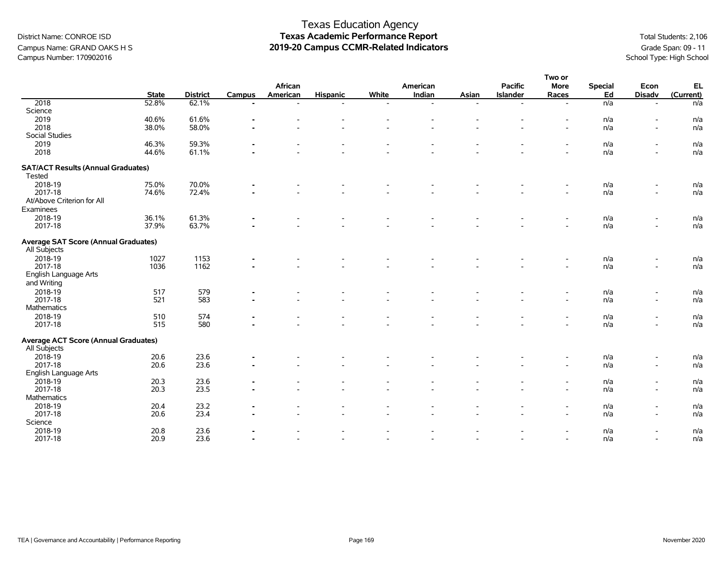|                                                             |              |                 |                |          |                          |       |                          |        |                 | Two or                   |                |                          |           |
|-------------------------------------------------------------|--------------|-----------------|----------------|----------|--------------------------|-------|--------------------------|--------|-----------------|--------------------------|----------------|--------------------------|-----------|
|                                                             |              |                 |                | African  |                          |       | American                 |        | <b>Pacific</b>  | More                     | <b>Special</b> | Econ                     | EL        |
|                                                             | <b>State</b> | <b>District</b> | <b>Campus</b>  | American | <b>Hispanic</b>          | White | Indian                   | Asian  | <b>Islander</b> | Races                    | Ed             | <b>Disadv</b>            | (Current) |
| 2018                                                        | 52.8%        | 62.1%           | $\blacksquare$ |          | ۰                        |       | $\overline{a}$           | $\sim$ |                 | $\overline{a}$           | n/a            | $\overline{\phantom{a}}$ | n/a       |
| Science                                                     |              |                 |                |          |                          |       |                          |        |                 |                          |                |                          |           |
| 2019                                                        | 40.6%        | 61.6%           | $\blacksquare$ |          |                          |       |                          |        |                 |                          | n/a            | ۰                        | n/a       |
| 2018                                                        | 38.0%        | 58.0%           |                |          |                          |       |                          |        |                 |                          | n/a            | $\overline{\phantom{a}}$ | n/a       |
| Social Studies                                              |              |                 |                |          |                          |       |                          |        |                 |                          |                |                          |           |
| 2019                                                        | 46.3%        | 59.3%           |                |          |                          |       |                          |        |                 | $\overline{\phantom{a}}$ | n/a            | $\blacksquare$           | n/a       |
| 2018                                                        | 44.6%        | 61.1%           |                |          |                          |       |                          |        |                 |                          | n/a            | $\overline{\phantom{a}}$ | n/a       |
| <b>SAT/ACT Results (Annual Graduates)</b>                   |              |                 |                |          |                          |       |                          |        |                 |                          |                |                          |           |
| Tested                                                      |              |                 |                |          |                          |       |                          |        |                 |                          |                |                          |           |
| 2018-19                                                     | 75.0%        | 70.0%           |                |          |                          |       |                          |        |                 |                          | n/a            | $\overline{\phantom{a}}$ | n/a       |
| 2017-18                                                     | 74.6%        | 72.4%           |                |          |                          |       |                          |        |                 |                          | n/a            | $\overline{\phantom{a}}$ | n/a       |
| At/Above Criterion for All                                  |              |                 |                |          |                          |       |                          |        |                 |                          |                |                          |           |
| Examinees                                                   |              |                 |                |          |                          |       |                          |        |                 |                          |                |                          |           |
| 2018-19                                                     | 36.1%        | 61.3%           |                |          |                          |       |                          |        |                 | $\overline{\phantom{a}}$ | n/a            | $\overline{\phantom{a}}$ | n/a       |
| 2017-18                                                     | 37.9%        | 63.7%           |                |          |                          |       |                          |        |                 |                          | n/a            |                          | n/a       |
| <b>Average SAT Score (Annual Graduates)</b><br>All Subjects |              |                 |                |          |                          |       |                          |        |                 |                          |                |                          |           |
| 2018-19                                                     | 1027         | 1153            |                |          |                          |       |                          |        |                 |                          | n/a            | $\overline{\phantom{a}}$ | n/a       |
| 2017-18                                                     | 1036         | 1162            |                |          |                          |       |                          |        |                 |                          | n/a            | $\overline{\phantom{a}}$ | n/a       |
| English Language Arts                                       |              |                 |                |          |                          |       |                          |        |                 |                          |                |                          |           |
|                                                             |              |                 |                |          |                          |       |                          |        |                 |                          |                |                          |           |
| and Writing                                                 |              |                 |                |          |                          |       |                          |        |                 |                          |                |                          |           |
| 2018-19                                                     | 517          | 579             | $\blacksquare$ |          |                          |       |                          |        |                 | $\overline{\phantom{0}}$ | n/a            | $\overline{\phantom{a}}$ | n/a       |
| 2017-18                                                     | 521          | 583             |                |          |                          |       |                          |        |                 | $\overline{a}$           | n/a            | $\blacksquare$           | n/a       |
| Mathematics                                                 |              |                 |                |          |                          |       |                          |        |                 |                          |                |                          |           |
| 2018-19                                                     | 510          | 574             |                |          |                          |       |                          |        |                 |                          | n/a            | $\blacksquare$           | n/a       |
| 2017-18                                                     | 515          | 580             |                |          |                          |       |                          |        |                 | $\overline{a}$           | n/a            | $\blacksquare$           | n/a       |
| <b>Average ACT Score (Annual Graduates)</b><br>All Subjects |              |                 |                |          |                          |       |                          |        |                 |                          |                |                          |           |
| 2018-19                                                     | 20.6         | 23.6            |                |          |                          |       |                          |        |                 | $\overline{a}$           | n/a            | $\blacksquare$           | n/a       |
| 2017-18                                                     | 20.6         | 23.6            |                |          |                          |       |                          |        |                 | $\overline{a}$           | n/a            | $\blacksquare$           | n/a       |
| English Language Arts                                       |              |                 |                |          |                          |       |                          |        |                 |                          |                |                          |           |
| 2018-19                                                     | 20.3         | 23.6            | $\blacksquare$ |          |                          |       |                          |        |                 | $\overline{a}$           | n/a            | $\overline{\phantom{a}}$ | n/a       |
| 2017-18                                                     | 20.3         | 23.5            |                |          |                          |       |                          |        |                 | $\overline{a}$           | n/a            | $\blacksquare$           | n/a       |
| Mathematics                                                 |              |                 |                |          |                          |       |                          |        |                 |                          |                |                          |           |
|                                                             |              |                 |                |          |                          |       |                          |        |                 |                          |                |                          |           |
| 2018-19                                                     | 20.4         | 23.2            |                |          |                          |       |                          |        |                 | $\overline{\phantom{a}}$ | n/a            | $\overline{\phantom{a}}$ | n/a       |
| 2017-18                                                     | 20.6         | 23.4            |                |          |                          |       |                          |        |                 | $\overline{a}$           | n/a            | $\overline{\phantom{a}}$ | n/a       |
| Science                                                     |              |                 |                |          |                          |       |                          |        |                 |                          |                |                          |           |
| 2018-19                                                     | 20.8         | 23.6            | $\blacksquare$ |          |                          |       |                          |        |                 | $\overline{\phantom{a}}$ | n/a            | $\overline{\phantom{a}}$ | n/a       |
| 2017-18                                                     | 20.9         | 23.6            |                |          | $\overline{\phantom{a}}$ |       | $\overline{\phantom{a}}$ |        |                 | $\overline{\phantom{a}}$ | n/a            | $\overline{\phantom{a}}$ | n/a       |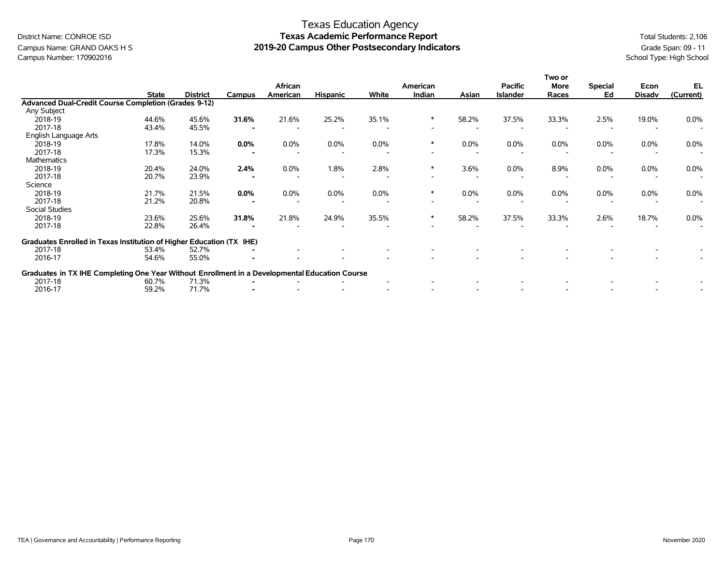### Campus Name: GRAND OAKS H S **2019-20 Campus Other Postsecondary Indicators** Grade Span: 09 - 11<br>Campus Number: 170902016 School Type: High School Campus Number: 170902016

|                                                                                                |       |                 |                |                          |                          |         |          |       |                 | Two or |                |               |           |
|------------------------------------------------------------------------------------------------|-------|-----------------|----------------|--------------------------|--------------------------|---------|----------|-------|-----------------|--------|----------------|---------------|-----------|
|                                                                                                |       |                 |                | African                  |                          |         | American |       | <b>Pacific</b>  | More   | <b>Special</b> | Econ          | EL        |
|                                                                                                | State | <b>District</b> | Campus         | American                 | <b>Hispanic</b>          | White   | Indian   | Asian | <b>Islander</b> | Races  | Ed             | <b>Disadv</b> | (Current) |
| Advanced Dual-Credit Course Completion (Grades 9-12)                                           |       |                 |                |                          |                          |         |          |       |                 |        |                |               |           |
| Any Subject                                                                                    |       |                 |                |                          |                          |         |          |       |                 |        |                |               |           |
| 2018-19                                                                                        | 44.6% | 45.6%           | 31.6%          | 21.6%                    | 25.2%                    | 35.1%   | $\ast$   | 58.2% | 37.5%           | 33.3%  | 2.5%           | 19.0%         | $0.0\%$   |
| 2017-18                                                                                        | 43.4% | 45.5%           | $\blacksquare$ | $\overline{\phantom{0}}$ | $\overline{\phantom{0}}$ |         |          |       |                 |        |                |               |           |
| English Language Arts                                                                          |       |                 |                |                          |                          |         |          |       |                 |        |                |               |           |
| 2018-19                                                                                        | 17.8% | 14.0%           | 0.0%           | 0.0%                     | 0.0%                     | $0.0\%$ | *        | 0.0%  | 0.0%            | 0.0%   | 0.0%           | 0.0%          | 0.0%      |
| 2017-18                                                                                        | 17.3% | 15.3%           |                |                          |                          |         |          |       |                 |        |                |               |           |
| Mathematics                                                                                    |       |                 |                |                          |                          |         |          |       |                 |        |                |               |           |
| 2018-19                                                                                        | 20.4% | 24.0%           | 2.4%           | 0.0%                     | 1.8%                     | 2.8%    | *        | 3.6%  | $0.0\%$         | 8.9%   | 0.0%           | $0.0\%$       | $0.0\%$   |
| 2017-18                                                                                        | 20.7% | 23.9%           |                |                          |                          |         |          |       |                 |        |                |               |           |
| Science                                                                                        |       |                 |                |                          |                          |         |          |       |                 |        |                |               |           |
| 2018-19                                                                                        | 21.7% | 21.5%           | 0.0%           | 0.0%                     | 0.0%                     | $0.0\%$ | $\ast$   | 0.0%  | 0.0%            | 0.0%   | 0.0%           | $0.0\%$       | $0.0\%$   |
| 2017-18                                                                                        | 21.2% | 20.8%           | $\blacksquare$ | $\overline{\phantom{a}}$ |                          |         |          |       |                 |        |                |               |           |
| Social Studies                                                                                 |       |                 |                |                          |                          |         |          |       |                 |        |                |               |           |
| 2018-19                                                                                        | 23.6% | 25.6%           | 31.8%          | 21.8%                    | 24.9%                    | 35.5%   | $\ast$   | 58.2% | 37.5%           | 33.3%  | 2.6%           | 18.7%         | $0.0\%$   |
| 2017-18                                                                                        | 22.8% | 26.4%           | $\blacksquare$ |                          |                          |         |          |       |                 |        |                |               |           |
| Graduates Enrolled in Texas Institution of Higher Education (TX                                |       |                 | IHE)           |                          |                          |         |          |       |                 |        |                |               |           |
| 2017-18                                                                                        | 53.4% | 52.7%           |                |                          |                          |         |          |       |                 |        |                |               |           |
| 2016-17                                                                                        | 54.6% | 55.0%           | $\blacksquare$ |                          |                          |         |          |       |                 |        |                |               |           |
| Graduates in TX IHE Completing One Year Without Enrollment in a Developmental Education Course |       |                 |                |                          |                          |         |          |       |                 |        |                |               |           |
| 2017-18                                                                                        | 60.7% | 71.3%           |                |                          |                          |         |          |       |                 |        |                |               |           |
| 2016-17                                                                                        | 59.2% | 71.7%           |                |                          |                          |         |          |       |                 |        |                |               |           |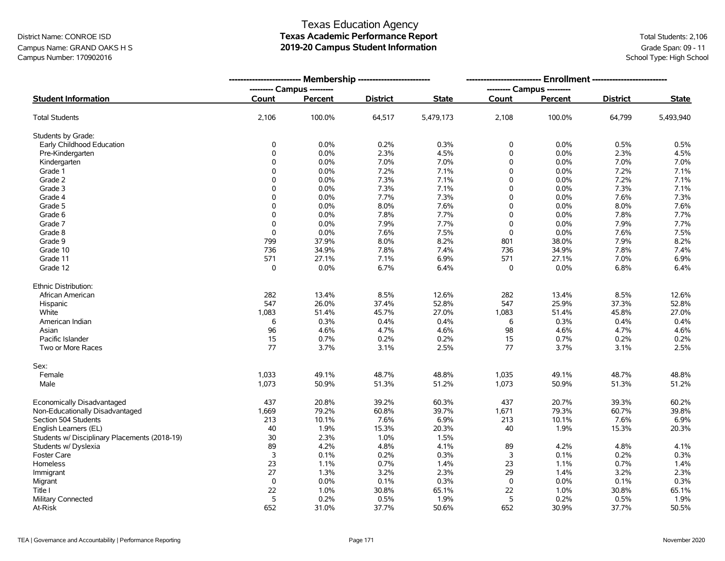|                                               |           | --------- Campus --------- |                 |              |             | --------- Campus --------- |                 |              |
|-----------------------------------------------|-----------|----------------------------|-----------------|--------------|-------------|----------------------------|-----------------|--------------|
| <b>Student Information</b>                    | Count     | Percent                    | <b>District</b> | <b>State</b> | Count       | Percent                    | <b>District</b> | <b>State</b> |
| <b>Total Students</b>                         | 2,106     | 100.0%                     | 64,517          | 5,479,173    | 2,108       | 100.0%                     | 64,799          | 5,493,940    |
| Students by Grade:                            |           |                            |                 |              |             |                            |                 |              |
| Early Childhood Education                     | 0         | 0.0%                       | 0.2%            | 0.3%         | 0           | 0.0%                       | 0.5%            | 0.5%         |
| Pre-Kindergarten                              | 0         | 0.0%                       | 2.3%            | 4.5%         | 0           | 0.0%                       | 2.3%            | 4.5%         |
| Kindergarten                                  | 0         | 0.0%                       | 7.0%            | 7.0%         | 0           | 0.0%                       | 7.0%            | 7.0%         |
| Grade 1                                       | 0         | 0.0%                       | 7.2%            | 7.1%         | 0           | 0.0%                       | 7.2%            | 7.1%         |
| Grade 2                                       | 0         | 0.0%                       | 7.3%            | 7.1%         | 0           | 0.0%                       | 7.2%            | 7.1%         |
| Grade 3                                       | 0         | 0.0%                       | 7.3%            | 7.1%         | 0           | 0.0%                       | 7.3%            | 7.1%         |
| Grade 4                                       | 0         | 0.0%                       | 7.7%            | 7.3%         | 0           | 0.0%                       | 7.6%            | 7.3%         |
| Grade 5                                       | 0         | 0.0%                       | 8.0%            | 7.6%         | 0           | 0.0%                       | 8.0%            | 7.6%         |
| Grade 6                                       | 0         | 0.0%                       | 7.8%            | 7.7%         | 0           | 0.0%                       | 7.8%            | 7.7%         |
| Grade 7                                       | $\pmb{0}$ | 0.0%                       | 7.9%            | 7.7%         | 0           | 0.0%                       | 7.9%            | 7.7%         |
| Grade 8                                       | 0         | 0.0%                       | 7.6%            | 7.5%         | 0           | 0.0%                       | 7.6%            | 7.5%         |
| Grade 9                                       | 799       | 37.9%                      | 8.0%            | 8.2%         | 801         | 38.0%                      | 7.9%            | 8.2%         |
| Grade 10                                      | 736       | 34.9%                      | 7.8%            | 7.4%         | 736         | 34.9%                      | 7.8%            | 7.4%         |
| Grade 11                                      | 571       | 27.1%                      | 7.1%            | 6.9%         | 571         | 27.1%                      | 7.0%            | 6.9%         |
| Grade 12                                      | 0         | 0.0%                       | 6.7%            | 6.4%         | 0           | 0.0%                       | 6.8%            | 6.4%         |
| Ethnic Distribution:                          |           |                            |                 |              |             |                            |                 |              |
| African American                              | 282       | 13.4%                      | 8.5%            | 12.6%        | 282         | 13.4%                      | 8.5%            | 12.6%        |
| Hispanic                                      | 547       | 26.0%                      | 37.4%           | 52.8%        | 547         | 25.9%                      | 37.3%           | 52.8%        |
| White                                         | 1,083     | 51.4%                      | 45.7%           | 27.0%        | 1,083       | 51.4%                      | 45.8%           | 27.0%        |
| American Indian                               | 6         | 0.3%                       | 0.4%            | 0.4%         | 6           | 0.3%                       | 0.4%            | 0.4%         |
| Asian                                         | 96        | 4.6%                       | 4.7%            | 4.6%         | 98          | 4.6%                       | 4.7%            | 4.6%         |
| Pacific Islander                              | 15        | 0.7%                       | 0.2%            | 0.2%         | 15          | 0.7%                       | 0.2%            | 0.2%         |
| Two or More Races                             | 77        | 3.7%                       | 3.1%            | 2.5%         | 77          | 3.7%                       | 3.1%            | 2.5%         |
|                                               |           |                            |                 |              |             |                            |                 |              |
| Sex:                                          |           |                            |                 |              |             |                            |                 |              |
| Female                                        | 1,033     | 49.1%                      | 48.7%           | 48.8%        | 1,035       | 49.1%                      | 48.7%           | 48.8%        |
| Male                                          | 1,073     | 50.9%                      | 51.3%           | 51.2%        | 1,073       | 50.9%                      | 51.3%           | 51.2%        |
| Economically Disadvantaged                    | 437       | 20.8%                      | 39.2%           | 60.3%        | 437         | 20.7%                      | 39.3%           | 60.2%        |
| Non-Educationally Disadvantaged               | 1,669     | 79.2%                      | 60.8%           | 39.7%        | 1,671       | 79.3%                      | 60.7%           | 39.8%        |
| Section 504 Students                          | 213       | 10.1%                      | 7.6%            | 6.9%         | 213         | 10.1%                      | 7.6%            | 6.9%         |
| English Learners (EL)                         | 40        | 1.9%                       | 15.3%           | 20.3%        | 40          | 1.9%                       | 15.3%           | 20.3%        |
| Students w/ Disciplinary Placements (2018-19) | 30        | 2.3%                       | 1.0%            | 1.5%         |             |                            |                 |              |
| Students w/ Dyslexia                          | 89        | 4.2%                       | 4.8%            | 4.1%         | 89          | 4.2%                       | 4.8%            | 4.1%         |
| <b>Foster Care</b>                            | 3         | 0.1%                       | 0.2%            | 0.3%         | 3           | 0.1%                       | 0.2%            | 0.3%         |
| Homeless                                      | 23        | 1.1%                       | 0.7%            | 1.4%         | 23          | 1.1%                       | 0.7%            | 1.4%         |
| Immigrant                                     | 27        | 1.3%                       | 3.2%            | 2.3%         | 29          | 1.4%                       | 3.2%            | 2.3%         |
| Migrant                                       | 0         | 0.0%                       | 0.1%            | 0.3%         | $\mathbf 0$ | 0.0%                       | 0.1%            | 0.3%         |
| Title I                                       | 22        | 1.0%                       | 30.8%           | 65.1%        | 22          | 1.0%                       | 30.8%           | 65.1%        |
| Military Connected                            | 5         | 0.2%                       | 0.5%            | 1.9%         | 5           | 0.2%                       | 0.5%            | 1.9%         |
| At-Risk                                       | 652       | 31.0%                      | 37.7%           | 50.6%        | 652         | 30.9%                      | 37.7%           | 50.5%        |
|                                               |           |                            |                 |              |             |                            |                 |              |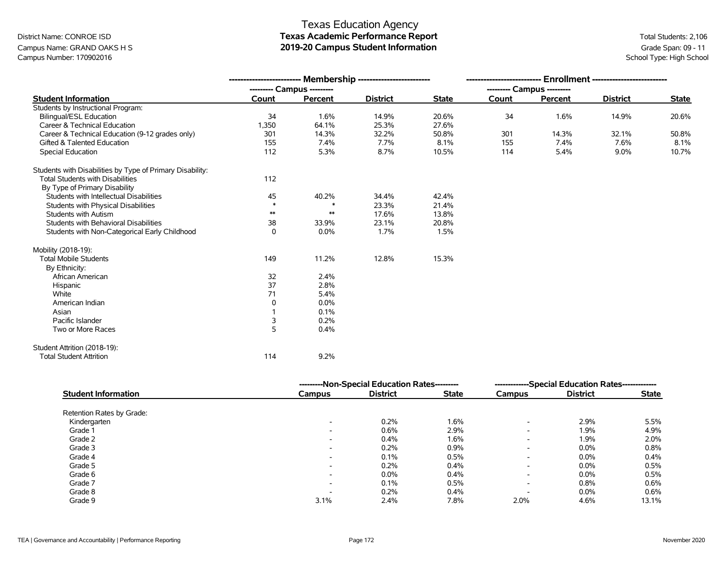|                                                           | ----------------------- |                            | - Membership ------------------------ |              |       |                           |                 |              |
|-----------------------------------------------------------|-------------------------|----------------------------|---------------------------------------|--------------|-------|---------------------------|-----------------|--------------|
|                                                           |                         | --------- Campus --------- |                                       |              |       | -------- Campus --------- |                 |              |
| <b>Student Information</b>                                | Count                   | Percent                    | <b>District</b>                       | <b>State</b> | Count | Percent                   | <b>District</b> | <b>State</b> |
| Students by Instructional Program:                        |                         |                            |                                       |              |       |                           |                 |              |
| <b>Bilingual/ESL Education</b>                            | 34                      | 1.6%                       | 14.9%                                 | 20.6%        | 34    | 1.6%                      | 14.9%           | 20.6%        |
| Career & Technical Education                              | 1,350                   | 64.1%                      | 25.3%                                 | 27.6%        |       |                           |                 |              |
| Career & Technical Education (9-12 grades only)           | 301                     | 14.3%                      | 32.2%                                 | 50.8%        | 301   | 14.3%                     | 32.1%           | 50.8%        |
| Gifted & Talented Education                               | 155                     | 7.4%                       | 7.7%                                  | 8.1%         | 155   | 7.4%                      | 7.6%            | 8.1%         |
| Special Education                                         | 112                     | 5.3%                       | 8.7%                                  | 10.5%        | 114   | 5.4%                      | 9.0%            | 10.7%        |
| Students with Disabilities by Type of Primary Disability: |                         |                            |                                       |              |       |                           |                 |              |
| <b>Total Students with Disabilities</b>                   | 112                     |                            |                                       |              |       |                           |                 |              |
| By Type of Primary Disability                             |                         |                            |                                       |              |       |                           |                 |              |
| Students with Intellectual Disabilities                   | 45                      | 40.2%                      | 34.4%                                 | 42.4%        |       |                           |                 |              |
| Students with Physical Disabilities                       | $\ast$                  |                            | 23.3%                                 | 21.4%        |       |                           |                 |              |
| Students with Autism                                      | $**$                    | $**$                       | 17.6%                                 | 13.8%        |       |                           |                 |              |
| Students with Behavioral Disabilities                     | 38                      | 33.9%                      | 23.1%                                 | 20.8%        |       |                           |                 |              |
| Students with Non-Categorical Early Childhood             | 0                       | 0.0%                       | 1.7%                                  | 1.5%         |       |                           |                 |              |
| Mobility (2018-19):                                       |                         |                            |                                       |              |       |                           |                 |              |
| <b>Total Mobile Students</b>                              | 149                     | 11.2%                      | 12.8%                                 | 15.3%        |       |                           |                 |              |
| By Ethnicity:                                             |                         |                            |                                       |              |       |                           |                 |              |
| African American                                          | 32                      | 2.4%                       |                                       |              |       |                           |                 |              |
| Hispanic                                                  | 37                      | 2.8%                       |                                       |              |       |                           |                 |              |
| White                                                     | 71                      | 5.4%                       |                                       |              |       |                           |                 |              |
| American Indian                                           | 0                       | 0.0%                       |                                       |              |       |                           |                 |              |
| Asian                                                     |                         | 0.1%                       |                                       |              |       |                           |                 |              |
| Pacific Islander                                          | 3                       | 0.2%                       |                                       |              |       |                           |                 |              |
| Two or More Races                                         | 5                       | 0.4%                       |                                       |              |       |                           |                 |              |
| Student Attrition (2018-19):                              |                         |                            |                                       |              |       |                           |                 |              |
| <b>Total Student Attrition</b>                            | 114                     | 9.2%                       |                                       |              |       |                           |                 |              |

|                            |                          | ---------Non-Special Education Rates--------- |              | ---Special Education Rates------------- |                 |              |
|----------------------------|--------------------------|-----------------------------------------------|--------------|-----------------------------------------|-----------------|--------------|
| <b>Student Information</b> | Campus                   | <b>District</b>                               | <b>State</b> | Campus                                  | <b>District</b> | <b>State</b> |
| Retention Rates by Grade:  |                          |                                               |              |                                         |                 |              |
| Kindergarten               | $\overline{\phantom{0}}$ | 0.2%                                          | 1.6%         | $\overline{\phantom{0}}$                | 2.9%            | 5.5%         |
| Grade 1                    |                          | 0.6%                                          | 2.9%         |                                         | 1.9%            | 4.9%         |
| Grade 2                    |                          | 0.4%                                          | 1.6%         | $\overline{\phantom{a}}$                | 1.9%            | 2.0%         |
| Grade 3                    | $\sim$                   | 0.2%                                          | 0.9%         | $\overline{\phantom{0}}$                | 0.0%            | 0.8%         |
| Grade 4                    | $\overline{\phantom{0}}$ | 0.1%                                          | 0.5%         | $\overline{\phantom{a}}$                | $0.0\%$         | $0.4\%$      |
| Grade 5                    | $\overline{\phantom{0}}$ | 0.2%                                          | 0.4%         | $\overline{\phantom{0}}$                | $0.0\%$         | 0.5%         |
| Grade 6                    |                          | $0.0\%$                                       | 0.4%         | $\overline{\phantom{0}}$                | 0.0%            | 0.5%         |
| Grade 7                    | $\sim$                   | 0.1%                                          | 0.5%         | $\overline{\phantom{a}}$                | 0.8%            | 0.6%         |
| Grade 8                    |                          | 0.2%                                          | 0.4%         |                                         | $0.0\%$         | 0.6%         |
| Grade 9                    | 3.1%                     | 2.4%                                          | 7.8%         | 2.0%                                    | 4.6%            | 13.1%        |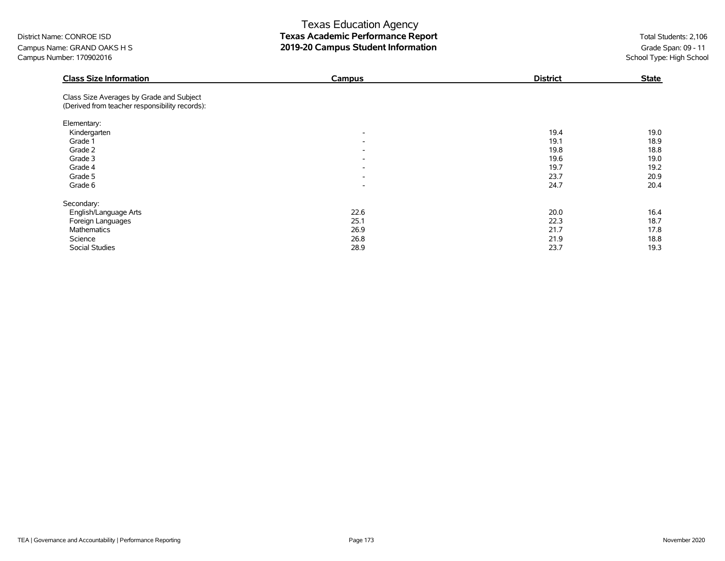|                             | <b>Texas Education Agency</b>            |                         |
|-----------------------------|------------------------------------------|-------------------------|
| District Name: CONROE ISD   | <b>Texas Academic Performance Report</b> | Total Students: 2,106   |
| Campus Name: GRAND OAKS H S | 2019-20 Campus Student Information       | Grade Span: 09 - 11     |
| Campus Number: 170902016    |                                          | School Type: High Schoo |

Total Students: 2,106 School Type: High School

| <b>Class Size Information</b>                  | <b>Campus</b>            | <b>District</b> | <b>State</b> |
|------------------------------------------------|--------------------------|-----------------|--------------|
| Class Size Averages by Grade and Subject       |                          |                 |              |
| (Derived from teacher responsibility records): |                          |                 |              |
| Elementary:                                    |                          |                 |              |
| Kindergarten                                   | $\overline{\phantom{a}}$ | 19.4            | 19.0         |
| Grade 1                                        | $\overline{\phantom{0}}$ | 19.1            | 18.9         |
| Grade 2                                        | $\overline{\phantom{a}}$ | 19.8            | 18.8         |
| Grade 3                                        | $\overline{\phantom{a}}$ | 19.6            | 19.0         |
| Grade 4                                        | $\overline{\phantom{a}}$ | 19.7            | 19.2         |
| Grade 5                                        | $\overline{\phantom{0}}$ | 23.7            | 20.9         |
| Grade 6                                        | $\overline{\phantom{a}}$ | 24.7            | 20.4         |
| Secondary:                                     |                          |                 |              |
| English/Language Arts                          | 22.6                     | 20.0            | 16.4         |
| Foreign Languages                              | 25.1                     | 22.3            | 18.7         |
| Mathematics                                    | 26.9                     | 21.7            | 17.8         |
| Science                                        | 26.8                     | 21.9            | 18.8         |
| <b>Social Studies</b>                          | 28.9                     | 23.7            | 19.3         |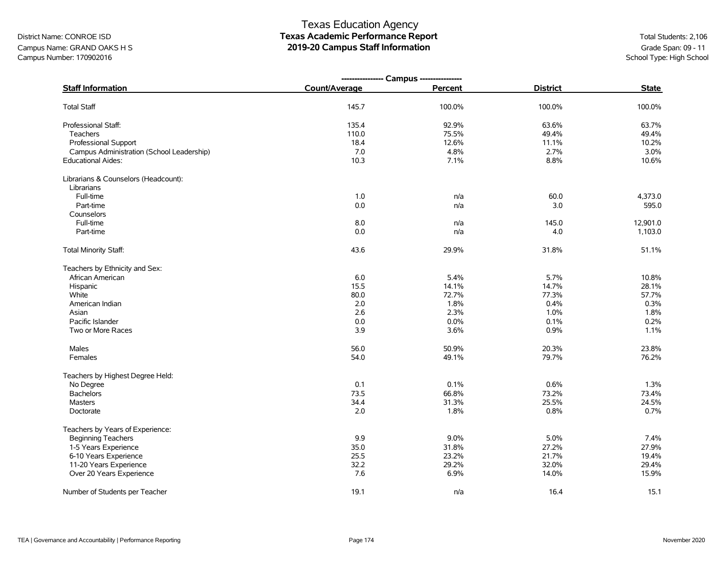### Campus Name: GRAND OAKS H S **2019-20 Campus Staff Information** Grade Span: 09 - 11 Campus Number: 170902016

|                                           | --- Campus ---------------- |         |                 |              |
|-------------------------------------------|-----------------------------|---------|-----------------|--------------|
| <b>Staff Information</b>                  | Count/Average               | Percent | <b>District</b> | <b>State</b> |
| <b>Total Staff</b>                        | 145.7                       | 100.0%  | 100.0%          | 100.0%       |
| Professional Staff:                       | 135.4                       | 92.9%   | 63.6%           | 63.7%        |
| Teachers                                  | 110.0                       | 75.5%   | 49.4%           | 49.4%        |
| Professional Support                      | 18.4                        | 12.6%   | 11.1%           | 10.2%        |
| Campus Administration (School Leadership) | 7.0                         | 4.8%    | 2.7%            | 3.0%         |
| <b>Educational Aides:</b>                 | 10.3                        | 7.1%    | 8.8%            | 10.6%        |
| Librarians & Counselors (Headcount):      |                             |         |                 |              |
| Librarians                                |                             |         |                 |              |
| Full-time                                 | 1.0                         | n/a     | 60.0            | 4,373.0      |
| Part-time                                 | 0.0                         | n/a     | 3.0             | 595.0        |
| Counselors                                |                             |         |                 |              |
| Full-time                                 | 8.0                         | n/a     | 145.0           | 12,901.0     |
| Part-time                                 | 0.0                         | n/a     | 4.0             | 1,103.0      |
| Total Minority Staff:                     | 43.6                        | 29.9%   | 31.8%           | 51.1%        |
| Teachers by Ethnicity and Sex:            |                             |         |                 |              |
| African American                          | $6.0$                       | 5.4%    | 5.7%            | 10.8%        |
| Hispanic                                  | 15.5                        | 14.1%   | 14.7%           | 28.1%        |
| White                                     | 80.0                        | 72.7%   | 77.3%           | 57.7%        |
| American Indian                           | 2.0                         | 1.8%    | 0.4%            | 0.3%         |
| Asian                                     | 2.6                         | 2.3%    | 1.0%            | 1.8%         |
| Pacific Islander                          | 0.0                         | 0.0%    | 0.1%            | 0.2%         |
| Two or More Races                         | 3.9                         | 3.6%    | 0.9%            | 1.1%         |
| Males                                     | 56.0                        | 50.9%   | 20.3%           | 23.8%        |
| Females                                   | 54.0                        | 49.1%   | 79.7%           | 76.2%        |
| Teachers by Highest Degree Held:          |                             |         |                 |              |
| No Degree                                 | 0.1                         | 0.1%    | 0.6%            | 1.3%         |
| <b>Bachelors</b>                          | 73.5                        | 66.8%   | 73.2%           | 73.4%        |
| <b>Masters</b>                            | 34.4                        | 31.3%   | 25.5%           | 24.5%        |
| Doctorate                                 | 2.0                         | 1.8%    | 0.8%            | 0.7%         |
| Teachers by Years of Experience:          |                             |         |                 |              |
| <b>Beginning Teachers</b>                 | 9.9                         | 9.0%    | 5.0%            | 7.4%         |
| 1-5 Years Experience                      | 35.0                        | 31.8%   | 27.2%           | 27.9%        |
| 6-10 Years Experience                     | 25.5                        | 23.2%   | 21.7%           | 19.4%        |
| 11-20 Years Experience                    | 32.2                        | 29.2%   | 32.0%           | 29.4%        |
| Over 20 Years Experience                  | 7.6                         | 6.9%    | 14.0%           | 15.9%        |
| Number of Students per Teacher            | 19.1                        | n/a     | 16.4            | 15.1         |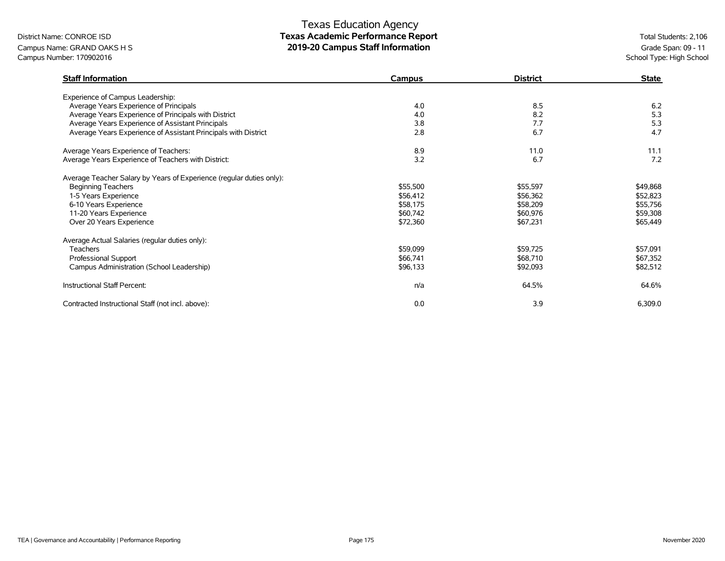### Texas Education Agency District Name: CONROE ISD **Texas Academic Performance Report Texas Academic Performance Report** Total Students: 2,106

Campus Name: GRAND OAKS H S

Grade Span: 09 - 11

Campus Number: 170902016

Campus Number: 170902016

Campus Number: 170902016

Campus Number: 170902016

Campus Number: 170902016

Campus Number: 170902016

Campus Number: 1 Campus Number: 170902016

| <b>Staff Information</b>                                             | Campus   | <b>District</b> | <b>State</b> |
|----------------------------------------------------------------------|----------|-----------------|--------------|
| Experience of Campus Leadership:                                     |          |                 |              |
| Average Years Experience of Principals                               | 4.0      | 8.5             | 6.2          |
| Average Years Experience of Principals with District                 | 4.0      | 8.2             | 5.3          |
| Average Years Experience of Assistant Principals                     | 3.8      | 7.7             | 5.3          |
| Average Years Experience of Assistant Principals with District       | 2.8      | 6.7             | 4.7          |
| Average Years Experience of Teachers:                                | 8.9      | 11.0            | 11.1         |
| Average Years Experience of Teachers with District:                  | 3.2      | 6.7             | 7.2          |
| Average Teacher Salary by Years of Experience (regular duties only): |          |                 |              |
| <b>Beginning Teachers</b>                                            | \$55,500 | \$55,597        | \$49,868     |
| 1-5 Years Experience                                                 | \$56,412 | \$56,362        | \$52,823     |
| 6-10 Years Experience                                                | \$58,175 | \$58,209        | \$55,756     |
| 11-20 Years Experience                                               | \$60,742 | \$60,976        | \$59,308     |
| Over 20 Years Experience                                             | \$72,360 | \$67,231        | \$65,449     |
| Average Actual Salaries (regular duties only):                       |          |                 |              |
| <b>Teachers</b>                                                      | \$59,099 | \$59,725        | \$57,091     |
| Professional Support                                                 | \$66,741 | \$68,710        | \$67,352     |
| Campus Administration (School Leadership)                            | \$96,133 | \$92,093        | \$82,512     |
| Instructional Staff Percent:                                         | n/a      | 64.5%           | 64.6%        |
| Contracted Instructional Staff (not incl. above):                    | 0.0      | 3.9             | 6,309.0      |